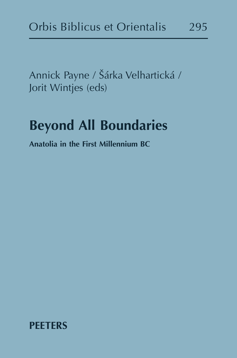Annick Payne / Šárka Velhartická / Jorit Wintjes (eds)

## **Beyond All Boundaries**

**Anatolia in the First Millennium BC**

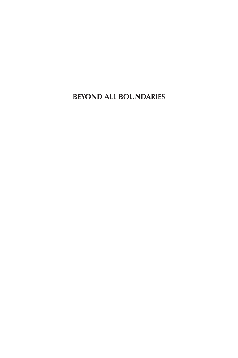**BEYOND ALL BOUNDARIES**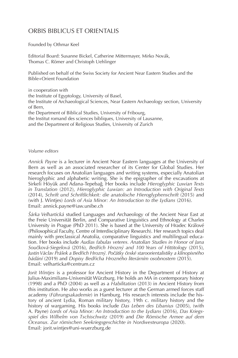#### ORBIS BIBLICUS ET ORIENTALIS

Founded by Othmar Keel

Editorial Board: Susanne Bickel, Catherine Mittermayer, Mirko Novák, Thomas C. Römer and Christoph Uehlinger

Published on behalf of the Swiss Society for Ancient Near Eastern Studies and the Bible+Orient Foundation

in cooperation with the Institute of Egyptology, University of Basel, the Institute of Archaeological Sciences, Near Eastern Archaeology section, University of Bern, the Department of Biblical Studies, University of Fribourg, the Institut romand des sciences bibliques, University of Lausanne, and the Department of Religious Studies, University of Zurich

#### *Volume editors*

*Annick Payne* is a lecturer in Ancient Near Eastern languages at the University of Bern as well as an associated researcher of its Center for Global Studies. Her research focuses on Anatolian languages and writing systems, especially Anatolian hieroglyphic and alphabetic writing. She is the epigrapher of the excavations at Sirkeli Höyük and Adana-Tepebağ. Her books include Hieroglyphic Luwian Texts *in Translation* (2012), *Hieroglyphic Luwian: an Introduction with Original Texts* (2014), *Schrift und Schriftlichkeit: die anatolische Hieroglyphenschrift* (2015) and (with J. Wintjes) *Lords of Asia Minor: An Introduction to the Lydians* (2016). Email: annick.payne@iaw.unibe.ch

*Šárka Velhartická* studied Languages and Archaeology of the Ancient Near East at the Freie Universität Berlin, and Comparative Linguistics and Ethnology at Charles University in Prague (PhD 2011). She is based at the University of Hradec Králové (Philosophical Faculty, Centre of Interdisciplinary Research). Her research topics deal mainly with preclassical Anatolia, comparative linguistics and multilingual education. Her books include *Audias fabulas veteres. Anatolian Studies in Honor of Jana*  Součková-Siegelová (2016), *Bedřich Hrozný and 100 Years of Hittitology (2015)*, *1\Z[PU=mJSH]7YmûLRH)LKYćPJO/YVaUñ7VJćm[R`JćLZRtZ[HYVVYPLU[HSPZ[PR`HRSxUVWPZUtOV* bádání (2019) and *Dopisy Bedřicha Hrozného literárním osobnostem* (2015). Email: velharticka@centrum.cz

*Jorit Wintjes* is a professor for Ancient History in the Department of History at Julius-Maximilians-Universität Würzburg. He holds an MA in contemporary history (1998) and a PhD (2004) as well as a *Habilitation* (2013) in Ancient History from this institution. He also works as a guest lecturer at the German armed forces staff academy (*Führungsakademie*) in Hamburg. His research interests include the history of ancient Lydia, Roman military history, 19th c. military history and the history of wargaming. His books include *Das Leben des Libanius* (2005), (with A. Payne) *Lords of Asia Minor: An Introduction to the Lydians* (2016), *Das Kriegs* $z$ *piel des Wilhelm von Tschischwitz* (2019) and *Die Römische Armee auf dem Oceanus. Zur römischen Seekriegsgeschichte in Nordwesteuropa* (2020). Email: jorit.wintjes@uni-wuerzburg.de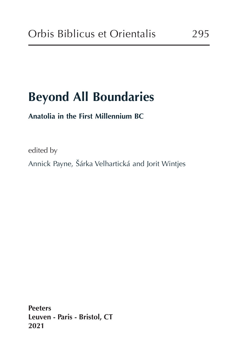# **Beyond All Boundaries**

### **Anatolia in the First Millennium BC**

edited by

Annick Payne, Šárka Velhartická and Jorit Wintjes

**Peeters Leuven - Paris - Bristol, CT 2021**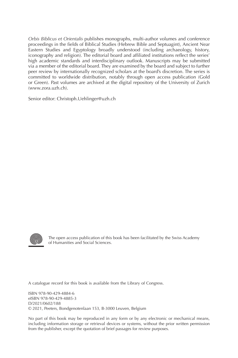*Orbis Biblicus et Orientalis* publishes monographs, multi-author volumes and conference proceedings in the fields of Biblical Studies (Hebrew Bible and Septuagint), Ancient Near Eastern Studies and Egyptology broadly understood (including archaeology, history, iconography and religion). The editorial board and affiliated institutions reflect the series' high academic standards and interdisciplinary outlook. Manuscripts may be submitted via a member of the editorial board. They are examined by the board and subject to further peer review by internationally recognized scholars at the board's discretion. The series is committed to worldwide distribution, notably through open access publication (Gold or Green). Past volumes are archived at the digital repository of the University of Zurich (www.zora.uzh.ch).

Senior editor: Christoph.Uehlinger@uzh.ch



The open access publication of this book has been facilitated by the Swiss Academy of Humanities and Social Sciences.

A catalogue record for this book is available from the Library of Congress.

ISBN 978-90-429-4884-6 eISBN 978-90-429-4885-3 D/2021/0602/188 © 2021, Peeters, Bondgenotenlaan 153, B-3000 Leuven, Belgium

No part of this book may be reproduced in any form or by any electronic or mechanical means, including information storage or retrieval devices or systems, without the prior written permission from the publisher, except the quotation of brief passages for review purposes.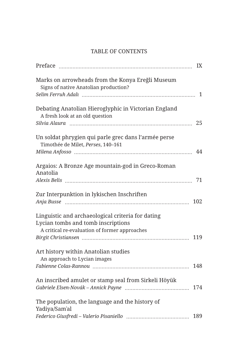#### TABLE OF CONTENTS

|                                                                                            | IX  |
|--------------------------------------------------------------------------------------------|-----|
| Marks on arrowheads from the Konya Ereğli Museum<br>Signs of native Anatolian production?  |     |
|                                                                                            | 1   |
| Debating Anatolian Hieroglyphic in Victorian England<br>A fresh look at an old question    |     |
|                                                                                            | 25  |
| Un soldat phrygien qui parle grec dans l'armée perse<br>Timothée de Milet, Perses, 140-161 |     |
|                                                                                            | 44  |
| Argaios: A Bronze Age mountain-god in Greco-Roman<br>Anatolia                              |     |
|                                                                                            | 71  |
| Zur Interpunktion in lykischen Inschriften                                                 | 102 |
| Linguistic and archaeological criteria for dating                                          |     |
| Lycian tombs and tomb inscriptions                                                         |     |
| A critical re-evaluation of former approaches                                              |     |
|                                                                                            | 119 |
| Art history within Anatolian studies<br>An approach to Lycian images                       |     |
|                                                                                            | 148 |
| An inscribed amulet or stamp seal from Sirkeli Höyük                                       | 174 |
|                                                                                            |     |
| The population, the language and the history of<br>Yadiya/Sam'al                           |     |
|                                                                                            | 189 |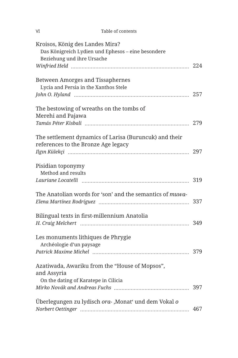| VI                                                                                                                  | Table of contents                                        |     |
|---------------------------------------------------------------------------------------------------------------------|----------------------------------------------------------|-----|
| Kroisos, König des Landes Mira?<br>Das Königreich Lydien und Ephesos - eine besondere<br>Beziehung und ihre Ursache |                                                          |     |
|                                                                                                                     |                                                          |     |
| Between Amorges and Tissaphernes<br>Lycia and Persia in the Xanthos Stele                                           |                                                          |     |
|                                                                                                                     |                                                          | 257 |
| The bestowing of wreaths on the tombs of<br>Merehi and Pajawa                                                       |                                                          |     |
|                                                                                                                     |                                                          | 279 |
| references to the Bronze Age legacy                                                                                 | The settlement dynamics of Larisa (Buruncuk) and their   | 297 |
|                                                                                                                     |                                                          |     |
| Pisidian toponymy<br>Method and results                                                                             |                                                          |     |
|                                                                                                                     |                                                          | 319 |
|                                                                                                                     | The Anatolian words for 'son' and the semantics of muwa- |     |
| Bilingual texts in first-millennium Anatolia                                                                        |                                                          |     |
|                                                                                                                     |                                                          | 349 |
| Les monuments lithiques de Phrygie<br>Archéologie d'un paysage                                                      |                                                          |     |
|                                                                                                                     |                                                          | 379 |
| Azatiwada, Awariku from the "House of Mopsos",<br>and Assyria                                                       |                                                          |     |
| On the dating of Karatepe in Cilicia                                                                                |                                                          |     |
|                                                                                                                     |                                                          | 397 |
|                                                                                                                     | Überlegungen zu lydisch ora-, Monat' und dem Vokal o     | 467 |
|                                                                                                                     |                                                          |     |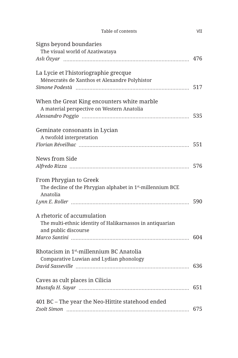| Table of contents                                                       | VII |
|-------------------------------------------------------------------------|-----|
| Signs beyond boundaries                                                 |     |
| The visual world of Azatiwataya                                         |     |
|                                                                         | 476 |
| La Lycie et l'historiographie grecque                                   |     |
| Ménecratès de Xanthos et Alexandre Polyhistor                           |     |
|                                                                         | 517 |
| When the Great King encounters white marble                             |     |
| A material perspective on Western Anatolia                              |     |
|                                                                         | 535 |
| Geminate consonants in Lycian                                           |     |
| A twofold interpretation                                                |     |
|                                                                         |     |
| News from Side                                                          |     |
|                                                                         |     |
|                                                                         |     |
| From Phrygian to Greek                                                  |     |
| The decline of the Phrygian alphabet in 1 <sup>st</sup> -millennium BCE |     |
| Anatolia                                                                |     |
|                                                                         | 590 |
| A rhetoric of accumulation                                              |     |
| The multi-ethnic identity of Halikarnassos in antiquarian               |     |
| and public discourse                                                    |     |
|                                                                         | 604 |
| Rhotacism in 1 <sup>st</sup> -millennium BC Anatolia                    |     |
| Comparative Luwian and Lydian phonology                                 |     |
|                                                                         |     |
| Caves as cult places in Cilicia                                         |     |
|                                                                         | 651 |
|                                                                         |     |
| 401 BC - The year the Neo-Hittite statehood ended                       |     |
|                                                                         | 675 |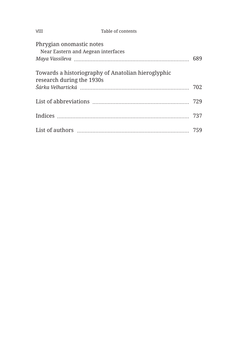| <b>VIII</b>                                                    | Table of contents                                  |     |
|----------------------------------------------------------------|----------------------------------------------------|-----|
| Phrygian onomastic notes<br>Near Eastern and Aegean interfaces |                                                    | 689 |
| research during the 1930s                                      | Towards a historiography of Anatolian hieroglyphic | 702 |
|                                                                |                                                    | 729 |
|                                                                |                                                    | 737 |
|                                                                |                                                    |     |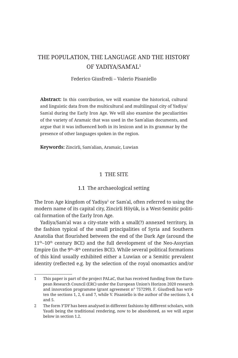#### THE POPULATION, THE LANGUAGE AND THE HISTORY OF YADIYA/SAMʾAL<sup>1</sup>

#### Federico Giusfredi – Valerio Pisaniello

**Abstract:** In this contribution, we will examine the historical, cultural and linguistic data from the multicultural and multilingual city of Yadiya/ Samʾal during the Early Iron Age. We will also examine the peculiarities of the variety of Aramaic that was used in the Samʾalian documents, and argue that it was influenced both in its lexicon and in its grammar by the presence of other languages spoken in the region.

**Keywords:** Zincirli, Samʾalian, Aramaic, Luwian

#### 1 THE SITE

#### 1.1 The archaeological setting

The Iron Age kingdom of Yadiya<sup>2</sup> or Samʾal, often referred to using the modern name of its capital city, Zincirli Höyük, is a West-Semitic political formation of the Early Iron Age.

Yadiya/Samʾal was a city-state with a small(?) annexed territory, in the fashion typical of the small principalities of Syria and Southern Anatolia that flourished between the end of the Dark Age (around the  $11<sup>th</sup>-10<sup>th</sup>$  century BCE) and the full development of the Neo-Assyrian Empire (in the  $9<sup>th</sup>-8<sup>th</sup>$  centuries BCE). While several political formations of this kind usually exhibited either a Luwian or a Semitic prevalent identity (reflected e.g. by the selection of the royal onomastics and/or

<sup>1</sup> This paper is part of the project PALaC, that has received funding from the European Research Council (ERC) under the European Union's Horizon 2020 research and innovation programme (grant agreement n° 757299). F. Giusfredi has written the sections 1, 2, 6 and 7, while V. Pisaniello is the author of the sections 3, 4 and 5.

<sup>2</sup> The form *Y'DY* has been analysed in different fashions by different scholars, with Yaudi being the traditional rendering, now to be abandoned, as we will argue below in section 1.2.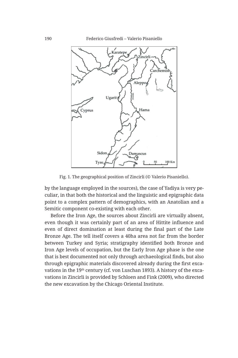190 Federico Giusfredi – Valerio Pisaniello



Fig. 1. The geographical position of Zincirli (© Valerio Pisaniello).

by the language employed in the sources), the case of Yadiya is very peculiar, in that both the historical and the linguistic and epigraphic data point to a complex pattern of demographics, with an Anatolian and a Semitic component co-existing with each other.

Before the Iron Age, the sources about Zincirli are virtually absent, even though it was certainly part of an area of Hittite influence and even of direct domination at least during the final part of the Late Bronze Age. The tell itself covers a 40ha area not far from the border between Turkey and Syria; stratigraphy identified both Bronze and Iron Age levels of occupation, but the Early Iron Age phase is the one that is best documented not only through archaeological finds, but also through epigraphic materials discovered already during the first excavations in the 19th century (cf. von Luschan 1893). A history of the excavations in Zincirli is provided by Schloen and Fink (2009), who directed the new excavation by the Chicago Oriental Institute.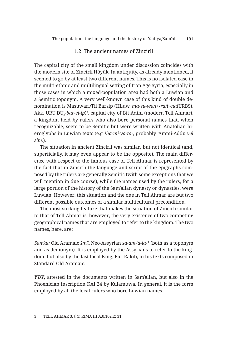#### 1.2 The ancient names of Zincirli

The capital city of the small kingdom under discussion coincides with the modern site of Zincirli Höyük. In antiquity, as already mentioned, it seemed to go by at least two different names. This is no isolated case in the multi-ethnic and multilingual setting of Iron Age Syria, especially in those cases in which a mixed-population area had both a Luwian and a Semitic toponym. A very well-known case of this kind of double denomination is Masuwari/Til Barsip (HLuw. *ma-su-wa/i+‹ra/i›-na*(URBS), Akk. URU.DU<sub>s</sub>-*bar-si-ip*)<sup>3</sup>, capital city of Bit Adini (modern Tell Ahmar), a kingdom held by rulers who also bore personal names that, when recognizable, seem to be Semitic but were written with Anatolian hieroglyphs in Luwian texts (e.g. <sup>I</sup> *ha-mi-ya-ta*-, probably 'Ammi-Addu *vel sim*.).

The situation in ancient Zincirli was similar, but not identical (and, superficially, it may even appear to be the opposite). The main difference with respect to the famous case of Tell Ahmar is represented by the fact that in Zincirli the language and script of the epigraphs composed by the rulers are generally Semitic (with some exceptions that we will mention in due course), while the names used by the rulers, for a large portion of the history of the Samʾalian dynasty or dynasties, were Luwian. However, this situation and the one in Tell Ahmar are but two different possible outcomes of a similar multicultural precondition.

The most striking feature that makes the situation of Zincirli similar to that of Tell Ahmar is, however, the very existence of two competing geographical names that are employed to refer to the kingdom. The two names, here, are:

*Samʾal:* Old Aramaic *šmʾl*, Neo-Assyrian *sa-am-ʾa-la*-° (both as a toponym and as demonym). It is employed by the Assyrians to refer to the kingdom, but also by the last local King, Bar-Rākib, in his texts composed in Standard Old Aramaic.

*YʾDY*, attested in the documents written in Samʾalian, but also in the Phoenician inscription KAI 24 by Kulamuwa. In general, it is the form employed by all the local rulers who bore Luwian names.

<sup>3</sup> TELL AHMAR 3, § 1; RIMA III A.0.102.2: 31.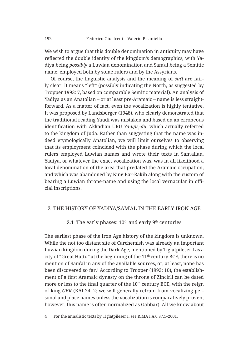We wish to argue that this double denomination in antiquity may have reflected the double identity of the kingdom's demographics, with Yadiya being *possibly* a Luwian denomination and Samʾal being a Semitic name, employed both by some rulers and by the Assyrians.

Of course, the linguistic analysis and the meaning of *šmʾl* are fairly clear. It means "left" (possibly indicating the North, as suggested by Tropper 1993: 7, based on comparable Semitic material). An analysis of Yadiya as an Anatolian – or at least pre-Aramaic – name is less straightforward. As a matter of fact, even the vocalization is highly tentative. It was proposed by Landsberger (1948), who clearly demonstrated that the traditional reading Yaudi was mistaken and based on an erroneous identification with Akkadian URU *Ya-u/u<sub>2</sub>-du*, which actually referred to the kingdom of Juda. Rather than suggesting that the name was indeed etymologically Anatolian, we will limit ourselves to observing that its employment coincided with the phase during which the local rulers employed Luwian names and wrote their texts in Samʾalian. Yadiya, or whatever the exact vocalization was, was in all likelihood a local denomination of the area that predated the Aramaic occupation, and which was abandoned by King Bar-Rākib along with the custom of bearing a Luwian throne-name and using the local vernacular in official inscriptions.

#### 2 THE HISTORY OF YADIYA/SAMʾAL IN THE EARLY IRON AGE

#### 2.1 The early phases:  $10^{th}$  and early  $9^{th}$  centuries

The earliest phase of the Iron Age history of the kingdom is unknown. While the not too distant site of Carchemish was already an important Luwian kingdom during the Dark Age, mentioned by Tiglatpileser I as a city of "Great Hattu" at the beginning of the  $11<sup>th</sup>$  century BCE, there is no mention of Samʾal in any of the available sources, or, at least, none has been discovered so far.4 According to Trooper (1993: 10), the establishment of a first Aramaic dynasty on the throne of Zincirli can be dated more or less to the final quarter of the 10<sup>th</sup> century BCE, with the reign of king *GBR* (KAI 24: 2; we will generally refrain from vocalizing personal and place names unless the vocalization is comparatively proven; however, this name is often normalized as Gabbār). All we know about

<sup>4</sup> For the annalistic texts by Tiglatpileser I, see RIMA I A.0.87.1–2001.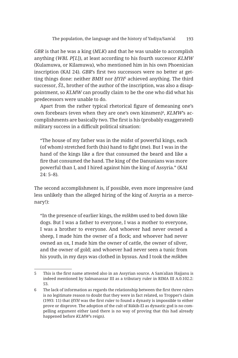*GBR* is that he was a king (*MLK*) and that he was unable to accomplish anything (*WBL P*[ʿ*L*]), at least according to his fourth successor *KLMW* (Kulamuwa, or Kilamuwa), who mentioned him in his own Phoenician inscription (KAI 24). *GBR*'s first two successors were no better at getting things done: neither *BMH* nor *ḤYH*<sup>5</sup> achieved anything. The third successor, *ŠʾL*, brother of the author of the inscription, was also a disappointment, so *KLMW* can proudly claim to be the one who did what his predecessors were unable to do.

Apart from the rather typical rhetorical figure of demeaning one's own forebears (even when they are one's own kinsmen)<sup>6</sup>, *KLMW*'s accomplishments are basically two. The first is his (probably exaggerated) military success in a difficult political situation:

"The house of my father was in the midst of powerful kings, each (of whom) stretched forth (his) hand to fight (me). But I was in the hand of the kings like a fire that consumed the beard and like a fire that consumed the hand. The king of the Danunians was more powerful than I, and I hired against him the king of Assyria." (KAI 24: 5–8).

The second accomplishment is, if possible, even more impressive (and less unlikely than the alleged hiring of the king of Assyria as a mercenary!):

"In the presence of earlier kings, the *mškbm* used to bed down like dogs. But I was a father to everyone, I was a mother to everyone, I was a brother to everyone. And whoever had never owned a sheep, I made him the owner of a flock; and whoever had never owned an ox, I made him the owner of cattle, the owner of silver, and the owner of gold; and whoever had never seen a tunic from his youth, in my days was clothed in byssus. And I took the *mškbm*

<sup>5</sup> This is the first name attested also in an Assyrian source. A Samʾalian Hajjanu is indeed mentioned by Salmanassar III as a tributary ruler in RIMA III A.0.102.2: 53.

<sup>6</sup> The lack of information as regards the relationship between the first three rulers is no legitimate reason to doubt that they were in fact related, so Tropper's claim (1993: 11) that *ḤYH* was the first ruler to found a dynasty is impossible to either prove or disprove. The adoption of the cult of Rākib-El as dynastic god is no compelling argument either (and there is no way of proving that this had already happened before *KLMW*'s reign).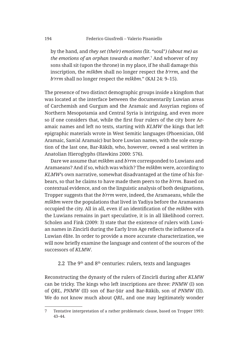by the hand, and *they set (their) emotions (*lit. "soul"*) (about me) as the emotions of an orphan towards a mother*. 7 And whoever of my sons shall sit (upon the throne) in my place, if he shall damage this inscription, the *mškbm* shall no longer respect the *b'rrm*, and the *b'rrm* shall no longer respect the *mškbm*." (KAI 24: 9–15).

The presence of two distinct demographic groups inside a kingdom that was located at the interface between the documentarily Luwian areas of Carchemish and Gurgum and the Aramaic and Assyrian regions of Northern Mesopotamia and Central Syria is intriguing, and even more so if one considers that, while the first four rulers of the city bore Aramaic names and left no texts, starting with *KLMW* the kings that left epigraphic materials wrote in West Semitic languages (Phoenician, Old Aramaic, Samʾal Aramaic) but bore Luwian names, with the sole exception of the last one, Bar-Rākib, who, however, owned a seal written in Anatolian Hieroglyphs (Hawkins 2000: 576).

Dare we assume that *mškbm* and *bʿrrm* corresponded to Luwians and Aramaeans? And if so, which was which? The *mškbm* were, according to *KLMW*'s own narrative, somewhat disadvantaged at the time of his forbears, so that he claims to have made them peers to the *bʿrrm*. Based on contextual evidence, and on the linguistic analysis of both designations, Tropper suggests that the *bʿrrm* were, indeed, the Aramaeans, while the *mškbm* were the populations that lived in Yadiya before the Aramaeans occupied the city. All in all, even if an identification of the *mškbm* with the Luwians remains in part speculative, it is in all likelihood correct. Scholen and Fink (2009: 3) state that the existence of rulers with Luwian names in Zincirli during the Early Iron Age reflects the influence of a Luwian élite. In order to provide a more accurate characterization, we will now briefly examine the language and content of the sources of the successors of *KLMW*.

#### 2.2 The  $9<sup>th</sup>$  and  $8<sup>th</sup>$  centuries: rulers, texts and languages

Reconstructing the dynasty of the rulers of Zincirli during after *KLMW* can be tricky. The kings who left inscriptions are three: *PNMW* (I) son of *QRL*, *PNMW* (II) son of Bar-Ṣūr and Bar-Rākib, son of *PNMW* (II). We do not know much about *QRL*, and one may legitimately wonder

<sup>7</sup> Tentative interpretation of a rather problematic clause, based on Tropper 1993: 43–44.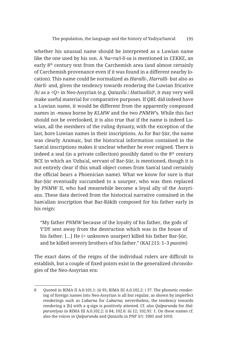whether his unusual name should be interpreted as a Luwian name like the one used by his son. A <sup>I</sup> *ha+ra/i-li-sa* is mentioned in CEKKE, an early 8<sup>th</sup> century text from the Carchemish area (and almost certainly of Carchemish provenance even if it was found in a different nearby location). This name could be normalized as *Haralli-*, *Harralli*- but also as *Harli-* and, given the tendency towards rendering the Luwian fricative /h/ as a <Q> in Neo-Assyrian (e.g. *Qatazilu* / *Hattusilis*)<sup>8</sup> , it may very well make useful material for comparative purposes. If *QRL* did indeed have a Luwian name, it would be different from the apparently compound names in -*muwa* borne by *KLMW* and the two *PNMW*'s. While this fact should not be overlooked, it is also true that if the name is indeed Luwian, all the members of the ruling dynasty, with the exception of the last, bore Luwian names in their inscriptions. As for Bar-Sūr, the name was clearly Aramaic, but the historical information contained in the Samʾal inscriptions makes it unclear whether he ever reigned. There is indeed a seal (in a private collection) possibly dated to the  $8<sup>th</sup>$  century BCE in which an ʿOzbaʿal, servant of Bar-Ṣūr, is mentioned, though it is not entirely clear if this small object comes from Samʾal (and certainly the official bears a Phoenician name). What we know for sure is that Bar-Ṣūr eventually succumbed to a usurper, who was then replaced by *PNMW* II, who had meanwhile become a loyal ally of the Assyrians. These data derived from the historical narrative contained in the Samʾalian inscription that Bar-Rākib composed for his father early in his reign:

"My father *PNMW* because of the loyalty of his father, the gods of Y'DY sent away from the destruction which was in the house of his father. [...] He (= unknown usurper) killed his father Bar-Sūr, and he killed seventy brothers of his father." (KAI 215: 1–3 *passim*)

The exact dates of the reigns of the individual rulers are difficult to establish, but a couple of fixed points exist in the generalized chronologies of the Neo-Assyrian era:

<sup>8</sup> Quoted in RIMA II A.0.101.1: iii 95; RIMA III A.0.102.2: i 37. The phonetic rendering of foreign names into Neo-Assyrian is all but regular, as shown by imperfect renderings such as *Lubarna* for *Labarna*; nevertheless, the tendency towards rendering a [h] with a q-sign is positively attested. Cf. also *Qalparunda* for *Halparuntiyas* in RIMA III A.0.102.2: ii 84; 102.6: iii 12; 102.91: 1. On these names cf. also the voices in *Qalparunda* and *Qatazilu* in PNP 3/1: 1005 and 1010.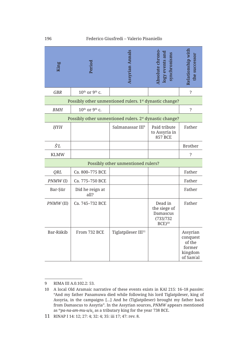| King          | Period                                   | Assyrian Annals                                                     | Absolute chrono-<br>$\log$ y events and<br>vnchronisms                    | Relationship with<br>the successor                               |
|---------------|------------------------------------------|---------------------------------------------------------------------|---------------------------------------------------------------------------|------------------------------------------------------------------|
| <b>GBR</b>    | $10$ <sup>th</sup> or 9 <sup>th</sup> c. |                                                                     |                                                                           | $\overline{\cdot}$                                               |
|               |                                          | Possibly other unmentioned rulers. 1 <sup>st</sup> dynastic change? |                                                                           |                                                                  |
| <b>BMH</b>    | $10$ <sup>th</sup> or 9 <sup>th</sup> c. |                                                                     |                                                                           | $\overline{\cdot}$                                               |
|               |                                          | Possibly other unmentioned rulers. 2 <sup>st</sup> dynastic change? |                                                                           |                                                                  |
| <b>HYH</b>    |                                          | Salmanassar III <sup>9</sup>                                        | Paid tribute<br>to Assyria in<br><b>857 BCE</b>                           | Father                                                           |
| $\check{S}'L$ |                                          |                                                                     |                                                                           | <b>Brother</b>                                                   |
| <b>KLMW</b>   |                                          |                                                                     |                                                                           | ?                                                                |
|               |                                          | Possibly other unmentioned rulers?                                  |                                                                           |                                                                  |
| <b>QRL</b>    | Ca. 800-775 BCE                          |                                                                     |                                                                           | Father                                                           |
| $PNMW$ $(I)$  | Ca. 775-750 BCE                          |                                                                     |                                                                           | Father                                                           |
| Bar-Şūr       | Did he reign at<br>all?                  |                                                                     |                                                                           | Father                                                           |
| $PMMW$ (II)   | Ca. 745-732 BCE                          |                                                                     | Dead in<br>the siege of<br>Damascus<br>(733/732)<br>$BCE$ ) <sup>10</sup> | Father                                                           |
| Bar-Rākib     | From 732 BCE                             | Tiglatpileser III <sup>11</sup>                                     |                                                                           | Assyrian<br>conquest<br>of the<br>former<br>kingdom<br>of Sam'al |

<sup>9</sup> RIMA III A.0.102.2: 53.

<sup>10</sup> A local Old Aramaic narrative of these events exists in KAI 215: 16–18 *passim*: "And my father Panamuwa died while following his lord Tiglatpileser, king of Assyria, in the campaigns […] And he (Tiglatpileser) brought my father back from Damascus to Assyria". In the Assyrian sources, *PNMW* appears mentioned as <sup>m</sup>pa-na-am-mu-u/u<sub>2</sub> as a tributary king for the year 738 BCE.

<sup>11</sup> RINAP I 14: 12; 27: 4; 32: 4; 35: iii 17; 47: rev. 8.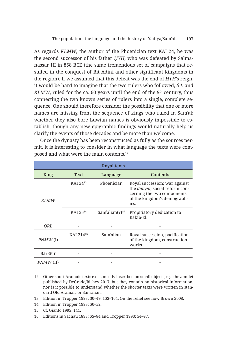As regards *KLMW*, the author of the Phoenician text KAI 24, he was the second successor of his father *ḤYH*, who was defeated by Salmanassar III in 858 BCE (the same tremendous set of campaigns that resulted in the conquest of Bit Adini and other significant kingdoms in the region). If we assumed that this defeat was the end of *ḤYH*'s reign, it would be hard to imagine that the two rulers who followed, *Š'L* and *KLMW*, ruled for the ca. 60 years until the end of the  $9<sup>th</sup>$  century, thus connecting the two known series of rulers into a single, complete sequence. One should therefore consider the possibility that one or more names are missing from the sequence of kings who ruled in Samʾal; whether they also bore Luwian names is obviously impossible to establish, though any new epigraphic findings would naturally help us clarify the events of those decades and be more than welcome.

|            |                       | <b>Royal texts</b>         |                                                                                                                                             |
|------------|-----------------------|----------------------------|---------------------------------------------------------------------------------------------------------------------------------------------|
| King       | <b>Text</b>           | Language                   | Contents                                                                                                                                    |
| KI.MW      | KAI $24^{13}$         | Phoenician                 | Royal succession; war against<br>the <i>dnnym</i> ; social reform con-<br>cerning the two components<br>of the kingdom's demograph-<br>ics. |
|            | KAI 2514              | Sam'alian(?) <sup>15</sup> | Propitiatory dedication to<br>Rākib-El.                                                                                                     |
| ORL        |                       |                            |                                                                                                                                             |
| $PNMW$ (I) | KAI 214 <sup>16</sup> | Sam'alian                  | Royal succession, pacification<br>of the kingdom, construction<br>works.                                                                    |
| Bar-Şūr    |                       |                            |                                                                                                                                             |
| PNMW (II)  |                       |                            |                                                                                                                                             |

Once the dynasty has been reconstructed as fully as the sources permit, it is interesting to consider in what language the texts were composed and what were the main contents.<sup>12</sup>

<sup>12</sup> Other short Aramaic texts exist, mostly inscribed on small objects, e.g. the amulet published by DeGrado/Richey 2017, but they contain no historical information, nor is it possible to understand whether the shorter texts were written in standard Old Aramaic or Samʾalian.

<sup>13</sup> Edition in Tropper 1993: 30–49, 153–164. On the relief see now Brown 2008.

<sup>14</sup> Edition in Tropper 1993: 50–52.

<sup>15</sup> Cf. Gianto 1995: 141.

<sup>16</sup> Editions in Sachau 1893: 55–84 and Tropper 1993: 54–97.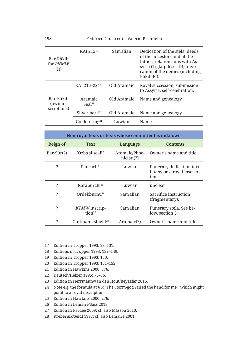| Bar-Rākib<br>for <i>PNMW</i><br>(II) | KAI $215^{17}$                | Sam'alian   | Dedication of the stela; deeds<br>of the ancestors and of the<br>father; relationships with As-<br>syria (Tiglatpileser III); invo-<br>cation of the deities (including<br>Rākib-El). |
|--------------------------------------|-------------------------------|-------------|---------------------------------------------------------------------------------------------------------------------------------------------------------------------------------------|
|                                      | KAI 216-22118                 | Old Aramaic | Royal succession, submission<br>to Assyria, self-celebration.                                                                                                                         |
| Bar-Rākib<br>(own in-                | Aramaic<br>Seal <sup>19</sup> | Old Aramaic | Name and genealogy.                                                                                                                                                                   |
| scriptions)                          | Silver bars <sup>20</sup>     | Old Aramaic | Name and genealogy.                                                                                                                                                                   |
|                                      | Golden ring <sup>21</sup>     | Luwian      | Name.                                                                                                                                                                                 |

| Non-royal texts or texts whose committent is unknown |                                     |                            |                                                                                |  |
|------------------------------------------------------|-------------------------------------|----------------------------|--------------------------------------------------------------------------------|--|
| Reign of                                             | <b>Text</b>                         | Language                   | <b>Contents</b>                                                                |  |
| $Bar-Sūr(?)$                                         | 'Ozbaʿal seal <sup>22</sup>         | Aramaic/Phoe-<br>nician(?) | Owner's name and title.                                                        |  |
| 2                                                    | Pancarl <sup>23</sup>               | Luwian                     | Funerary dedication text.<br>It may be a royal inscrip-<br>tion. <sup>24</sup> |  |
| ?                                                    | Karaburclu <sup>25</sup>            | Luwian                     | unclear                                                                        |  |
| ?                                                    | Ördekburnu <sup>26</sup>            | Sam'alian                  | Sacrifice instruction<br>(fragmentary).                                        |  |
| ?                                                    | KTMW inscrip-<br>tion <sup>27</sup> | Sam'alian                  | Funerary stela. See be-<br>low, section 5.                                     |  |
| ?                                                    | Guttmann shield <sup>28</sup>       | Aramaic(?)                 | Owner's name and title.                                                        |  |

<sup>17</sup> Edition in Tropper 1993: 98–131.

18 Editions in Tropper 1993: 132–149.

- 20 Edition in Tropper 1993: 151–152.
- 21 Edition in Hawkins 2000: 576.
- 22 Deutsch/Helzer 1995: 75–76.
- 23 Edition in Herrmann/van den Hout/Beyazlar 2016.
- 24 Note e.g. the formula at § 3: "The Storm-god raised the hand for me", which might point to a royal inscription.
- 25 Edition in Hawkins 2000: 276.
- 26 Edition in Lemaire/Sass 2013.
- 27 Edition in Pardee 2009; cf. also Masson 2010.
- 28 Krebernik/Seidl 1997; cf. also Lemaire 2001.

<sup>19</sup> Edition in Tropper 1993: 150.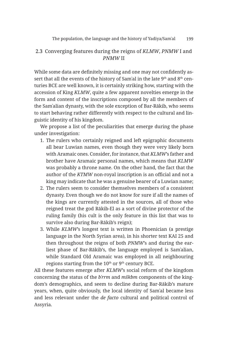#### 2.3 Converging features during the reigns of *KLMW*, *PNMW* I and *PNMW* II

While some data are definitely missing and one may not confidently assert that all the events of the history of Sam'al in the late  $9<sup>th</sup>$  and  $8<sup>th</sup>$  centuries BCE are well known, it is certainly striking how, starting with the accession of King *KLMW*, quite a few apparent novelties emerge in the form and content of the inscriptions composed by all the members of the Samʾalian dynasty, with the sole exception of Bar-Rākib, who seems to start behaving rather differently with respect to the cultural and linguistic identity of his kingdom.

We propose a list of the peculiarities that emerge during the phase under investigation:

- 1. The rulers who certainly reigned and left epigraphic documents all bear Luwian names, even though they were very likely born with Aramaic ones. Consider, for instance, that *KLMW*'s father and brother have Aramaic personal names, which means that *KLMW* was probably a throne name. On the other hand, the fact that the author of the *KTMW* non-royal inscription is an official and not a king may indicate that he was a genuine bearer of a Luwian name;
- 2. The rulers seem to consider themselves members of a consistent dynasty. Even though we do not know for sure if all the names of the kings are currently attested in the sources, all of those who reigned treat the god Rākib-El as a sort of divine protector of the ruling family (his cult is the only feature in this list that was to survive also during Bar-Rākib's reign);
- 3. While *KLMW*'s longest text is written in Phoenician (a prestige language in the North Syrian area), in his shorter text KAI 25 and then throughout the reigns of both *PNMW*'s and during the earliest phase of Bar-Rākib's, the language employed is Samʾalian, while Standard Old Aramaic was employed in all neighbouring regions starting from the  $10<sup>th</sup>$  or  $9<sup>th</sup>$  century BCE.

All these features emerge after *KLMW*'s social reform of the kingdom concerning the status of the *bʿrrm* and *mškbm* components of the kingdom's demographics, and seem to decline during Bar-Rākib's mature years, when, quite obviously, the local identity of Samʾal became less and less relevant under the *de facto* cultural and political control of Assyria.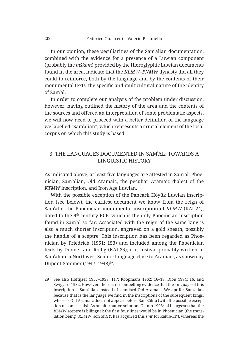In our opinion, these peculiarities of the Samʾalian documentation, combined with the evidence for a presence of a Luwian component (probably the *mškbm*) provided by the Hieroglyphic Luwian documents found in the area, indicate that the *KLMW–PNMW* dynasty did all they could to reinforce, both by the language and by the contents of their monumental texts, the specific and multicultural nature of the identity of Samʾal.

In order to complete our analysis of the problem under discussion, however, having outlined the history of the area and the contents of the sources and offered an interpretation of some problematic aspects, we will now need to proceed with a better definition of the language we labelled "Samʾalian", which represents a crucial element of the local corpus on which this study is based.

#### 3 THE LANGUAGES DOCUMENTED IN SAMʾAL: TOWARDS A LINGUISTIC HISTORY

As indicated above, at least five languages are attested in Samʾal: Phoenician, Samʾalian, Old Aramaic, the peculiar Aramaic dialect of the *KTMW* inscription, and Iron Age Luwian.

With the possible exception of the Pancarlı Höyük Luwian inscription (see below), the earliest document we know from the reign of Samʾal is the Phoenician monumental inscription of *KLMW* (KAI 24), dated to the  $9<sup>th</sup>$  century BCE, which is the only Phoenician inscription found in Samʾal so far. Associated with the reign of the same king is also a much shorter inscription, engraved on a gold sheath, possibly the handle of a sceptre. This inscription has been regarded as Phoenician by Friedrich (1951: 153) and included among the Phoenician texts by Donner and Röllig (KAI 25); it is instead probably written in Samʾalian, a Northwest Semitic language close to Aramaic, as shown by Dupont-Sommer (1947–1948)<sup>29</sup>.

<sup>29</sup> See also Hoftijzer 1957–1958: 117; Koopmans 1962: 16–18; Dion 1974: 16, and Swiggers 1982. However, there is no compelling evidence that the language of this inscription is Samʾalian instead of standard Old Aramaic. We opt for Samʾalian because that is the language we find in the inscriptions of the subsequent kings, whereas Old Aramaic does not appear before Bar-Rākib (with the possible exception of some seals). As an alternative solution, Gianto 1995: 141 suggests that the *KLMW* sceptre is bilingual: the first four lines would be in Phoenician (the translation being "*KLMW*, son of *ḤY*, has acquired this *smr* for Rakib-El"), whereas the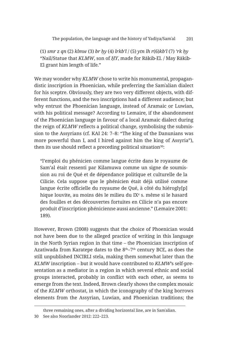(1) *smr z qn* (2) *klmw* (3) *br ḥy* (4) *lrkb'l* / (5) *ytn lh r*(6)*kb'l* (7) *'rk ḥy* "Nail/Statue that *KLMW*, son of *ḤY*, made for Rākib-El. / May Rākib-El grant him length of life."

We may wonder why *KLMW* chose to write his monumental, propagandistic inscription in Phoenician, while preferring the Samʾalian dialect for his sceptre. Obviously, they are two very different objects, with different functions, and the two inscriptions had a different audience; but why entrust the Phoenician language, instead of Aramaic or Luwian, with his political message? According to Lemaire, if the abandonment of the Phoenician language in favour of a local Aramaic dialect during the reign of *KLMW* reflects a political change, symbolising the submission to the Assyrians (cf. KAI 24: 7–8: "The king of the Danunians was more powerful than I, and I hired against him the king of Assyria"), then its use should reflect a preceding political situation<sup>30</sup>:

"l'emploi du phénicien comme langue écrite dans le royaume de Sam'al était ressenti par Kilamuwa comme un signe de soumission au roi de Qué et de dépendance politique et culturelle de la Cilicie. Cela suppose que le phénicien était déjà utilisé comme langue écrite officielle du royaume de Qué, à côté du hiérogly[p] hique louvite, au moins dès le milieu du IXª s. même si le hasard des fouilles et des découvertes fortuites en Cilicie n'a pas encore produit d'inscription phénicienne aussi ancienne." (Lemaire 2001: 189).

However, Brown (2008) suggests that the choice of Phoenician would not have been due to the alleged practice of writing in this language in the North Syrian region in that time – the Phoenician inscription of Azatiwada from Karatepe dates to the  $8<sup>th</sup>-7<sup>th</sup>$  century BCE, as does the still unpublished INCIRLI stela, making them somewhat later than the *KLMW* inscription – but it would have contributed to *KLMW*'s self-presentation as a mediator in a region in which several ethnic and social groups interacted, probably in conflict with each other, as seems to emerge from the text. Indeed, Brown clearly shows the complex mosaic of the *KLMW* orthostat, in which the iconography of the king borrows elements from the Assyrian, Luwian, and Phoenician traditions; the

three remaining ones, after a dividing horizontal line, are in Samʾalian.

<sup>30</sup> See also Noorlander 2012: 222–223.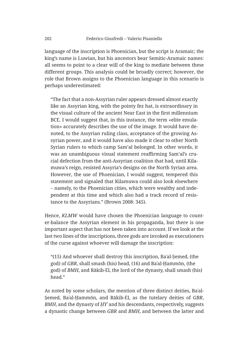language of the inscription is Phoenician, but the script is Aramaic; the king's name is Luwian, but his ancestors bear Semitic-Aramaic names: all seems to point to a clear will of the king to mediate between these different groups. This analysis could be broadly correct; however, the role that Brown assigns to the Phoenician language in this scenario is perhaps underestimated:

"The fact that a non-Assyrian ruler appears dressed almost exactly like an Assyrian king, with the pointy fez hat, is extraordinary in the visual culture of the ancient Near East in the first millennium BCE. I would suggest that, in this instance, the term «elite emulation» accurately describes the use of the image. It would have denoted, to the Assyrian ruling class, acceptance of the growing Assyrian power, and it would have also made it clear to other North Syrian rulers to which camp Sam'al belonged. In other words, it was an unambiguous visual statement reaffirming Sam'al's crucial defection from the anti-Assyrian coalition that had, until Kilamuwa's reign, resisted Assyria's designs on the North Syrian area. However, the use of Phoenician, I would suggest, tempered this statement and signaled that Kilamuwa could also look elsewhere – namely, to the Phoenician cities, which were wealthy and independent at this time and which also had a track record of resistance to the Assyrians." (Brown 2008: 345).

Hence, *KLMW* would have chosen the Phoenician language to counter-balance the Assyrian element in his propaganda, but there is one important aspect that has not been taken into account. If we look at the last two lines of the inscriptions, three gods are invoked as executioners of the curse against whoever will damage the inscription:

"(15) And whoever shall destroy this inscription, Baʿal-Ṣemed, (the god) of *GBR*, shall smash (his) head, (16) and Baʿal-Ḥammōn, (the god) of *BMH*, and Rākib-El, the lord of the dynasty, shall smash (his) head."

As noted by some scholars, the mention of three distinct deities, Baʿal-Ṣemed, Baʿal-Ḥammōn, and Rākib-El, as the tutelary deities of *GBR*, *BMH*, and the dynasty of *ḤYʾ* and his descendants, respectively, suggests a dynastic change between *GBR* and *BMH*, and between the latter and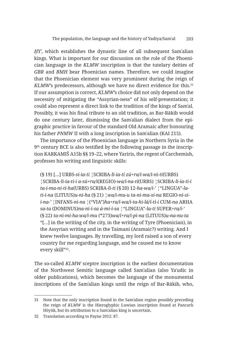*ḤYʾ*, which establishes the dynastic line of all subsequent Samʾalian kings. What is important for our discussion on the role of the Phoenician language in the *KLMW* inscription is that the tutelary deities of *GBR* and *BMH* bear Phoenician names. Therefore, we could imagine that the Phoenician element was very prominent during the reign of KLMW's predecessors, although we have no direct evidence for this.<sup>31</sup> If our assumption is correct, *KLMW*'s choice did not only depend on the necessity of mitigating the "Assyrian-ness" of his self-presentation; it could also represent a direct link to the tradition of the kings of Samʾal. Possibly, it was his final tribute to an old tradition, as Bar-Rākib would do one century later, dismissing the Samʾalian dialect from the epigraphic practice in favour of the standard Old Aramaic after honouring his father *PNMW* II with a long inscription in Samʾalian (KAI 215).

The importance of the Phoenician language in Northern Syria in the  $9<sup>th</sup>$  century BCE is also testified by the following passage in the inscription KARKAMIŠ A15b §§ 19–22, where Yariris, the regent of Carchemish, professes his writing and linguistic skills:

(§ 19) […] URBS*-si-ia-ti* ¦SCRIBA*-li-ia-ti zú+ra/i-wa/i-ni-ti*(URBS) ¦SCRIBA*-li-ia-ti-i a-sú+ra/i*(REGIO)*-wa/i-na-ti*(URBS) ¦SCRIBA*-li-ia-ti-i ta-i-ma-ni-ti-ha*(URBS) SCRIBA*-li-ti* (§ 20) 12*-ha-wa/i-'* ¦"LINGUA"*-lati-i-na* (LITUUS)*u-ni-ha* (§ 21) ¦*wa/i-mu-u ta-ni-ma-si-na* REGIO*-ni-sii-na-'* ¦INFANS*-ni-na* ¦("VIA")*ha+ra/i-wa/i-ta-hi-lá/í-ti-i* CUM*-na* ARHA *sa-ta* (DOMINUS)*na-ni-i-sa á-mi-i-sa* ¦"LINGUA"*-la-ti* SUPER*+ra/i-'*  (§ 22) *ta-ni-mi-ha-wa/i-mu* (\*273)*wa/i+ra/i-pi-na* (LITUUS)*u-na-nu-ta* "[…] in the writing of the city, in the writing of Tyre (Phoenician), in the Assyrian writing and in the Taimani (Aramaic?) writing. And I knew twelve languages. By travelling, my lord raised a son of every country for me regarding language, and he caused me to know every skill"32.

The so-called *KLMW* sceptre inscription is the earliest documentation of the Northwest Semitic language called Samʾalian (also Yaʾudic in older publications), which becomes the language of the monumental inscriptions of the Samʾalian kings until the reign of Bar-Rākib, who,

<sup>31</sup> Note that the only inscription found in the Samʾalian region possibly preceding the reign of *KLMW* is the Hieroglyphic Luwian inscription found at Pancarlı Höyük, but its attribution to a Samʾalian king is uncertain.

<sup>32</sup> Translation according to Payne 2012: 87.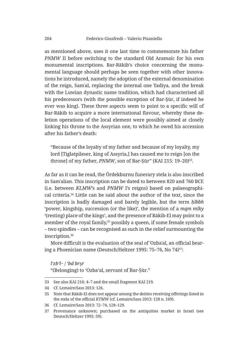as mentioned above, uses it one last time to commemorate his father *PNMW* II before switching to the standard Old Aramaic for his own monumental inscriptions. Bar-Rākib's choice concerning the monumental language should perhaps be seen together with other innovations he introduced, namely the adoption of the external denomination of the reign, Samʾal, replacing the internal one Yadiya, and the break with the Luwian dynastic name tradition, which had characterised all his predecessors (with the possible exception of Bar-Ṣūr, if indeed he ever was king). These three aspects seem to point to a specific will of Bar-Rākib to acquire a more international flavour, whereby these deletion operations of the local element were possibly aimed at closely linking his throne to the Assyrian one, to which he owed his accession after his father's death:

"Because of the loyalty of my father and because of my loyalty, my lord [Tiglatpileser, king of Assyria,] has caused me to reign [on the throne] of my father, *PNMW*, son of Bar-Sūr" (KAI 215: 19–20)<sup>33</sup>.

As far as it can be read, the Ördekburnu funerary stela is also inscribed in Samʾalian. This inscription can be dated to between 820 and 760 BCE (i.e. between *KLMW*'s and *PNMW* I's reigns) based on palaeographical criteria.34 Little can be said about the author of the text, since the inscription is badly damaged and barely legible, but the term *ḥlbbh* 'power, kingship, succession (or the like)', the mention of a *mqm mlky* '(resting) place of the kings', and the presence of Rākib-El may point to a member of the royal family,<sup>35</sup> possibly a queen, if some female symbols – two spindles – can be recognised as such in the relief surmounting the inscription.36

More difficult is the evaluation of the seal of ʿOzbaʿal, an official bearing a Phoenician name (Deutsch/Heltzer 1995: 75-76, No 74)<sup>37</sup>:

*l'zb'l*·· / *'bd brṣr*

"(Belonging) to 'Ozba'al, servant of Bar-Ṣūr."

<sup>33</sup> See also KAI 216: 4–7 and the small fragment KAI 219.

<sup>34</sup> Cf. Lemaire/Sass 2013: 126.

<sup>35</sup> Note that Rākib-El does not appear among the deities receiving offerings listed in the stela of the official *KTMW* (cf. Lemaire/Sass 2013: 128 n. 169).

<sup>36</sup> Cf. Lemaire/Sass 2013: 72–74, 128–129.

<sup>37</sup> Provenance unknown; purchased on the antiquities market in Israel (see Deutsch/Heltzer 1995: 59).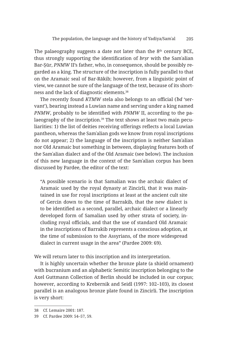The palaeography suggests a date not later than the  $8<sup>th</sup>$  century BCE, thus strongly supporting the identification of *brṣr* with the Samʾalian Bar-Ṣūr, *PNMW* II's father, who, in consequence, should be possibly regarded as a king. The structure of the inscription is fully parallel to that on the Aramaic seal of Bar-Rākib; however, from a linguistic point of view, we cannot be sure of the language of the text, because of its shortness and the lack of diagnostic elements.38

The recently found *KTMW* stela also belongs to an official (*ʿbd* 'servant'), bearing instead a Luwian name and serving under a king named *PNMW*, probably to be identified with *PNMW* II, according to the palaeography of the inscription.<sup>39</sup> The text shows at least two main peculiarities: 1) the list of deities receiving offerings reflects a local Luwian pantheon, whereas the Samʾalian gods we know from royal inscriptions do not appear; 2) the language of the inscription is neither Samʾalian nor Old Aramaic but something in between, displaying features both of the Samʾalian dialect and of the Old Aramaic (see below). The inclusion of this new language in the context of the Samʾalian corpus has been discussed by Pardee, the editor of the text:

"A possible scenario is that Samalian was the archaic dialect of Aramaic used by the royal dynasty at Zincirli, that it was maintained in use for royal inscriptions at least at the ancient cult site of Gercin down to the time of Barrakib, that the new dialect is to be identified as a second, parallel, archaic dialect or a linearly developed form of Samalian used by other strata of society, including royal officials, and that the use of standard Old Aramaic in the inscriptions of Barrakib represents a conscious adoption, at the time of submission to the Assyrians, of the more widespread dialect in current usage in the area" (Pardee 2009: 69).

We will return later to this inscription and its interpretation.

It is highly uncertain whether the bronze plate (a shield ornament) with bucranium and an alphabetic Semitic inscription belonging to the Axel Guttmann Collection of Berlin should be included in our corpus; however, according to Krebernik and Seidl (1997: 102–103), its closest parallel is an analogous bronze plate found in Zincirli. The inscription is very short:

<sup>38</sup> Cf. Lemaire 2001: 187.

<sup>39</sup> Cf. Pardee 2009: 54–57, 59.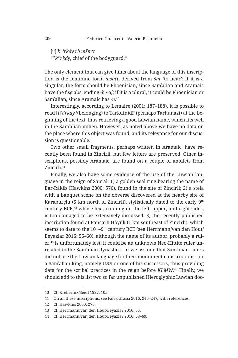['? ]⸢ *k*? ⸣ *rkdy rb mšm't* "?⸢ *k*?⸣ *rkdy*, chief of the bodyguard."

The only element that can give hints about the language of this inscription is the feminine form *mšmʿt*, derived from *šmʿ* 'to hear': if it is a singular, the form should be Phoenician, since Samʾalian and Aramaic have the f.sg.abs. ending *-h* /-ā/; if it is a plural, it could be Phoenician or Samʾalian, since Aramaic has *-n*. 40

Interestingly, according to Lemaire (2001: 187–188), it is possible to read [*l*]**⸢** *t***⸣** *rkdy* '(belonging) to Tarku(n)dî' (perhaps Tarhunazi) at the beginning of the text, thus retrieving a good Luwian name, which fits well in the Samʾalian milieu. However, as noted above we have no data on the place where this object was found, and its relevance for our discussion is questionable.

Two other small fragments, perhaps written in Aramaic, have recently been found in Zincirli, but few letters are preserved. Other inscriptions, possibly Aramaic, are found on a couple of amulets from Zincirli.41

Finally, we also have some evidence of the use of the Luwian language in the reign of Samʾal: 1) a golden seal ring bearing the name of Bar-Rākib (Hawkins 2000: 576), found in the site of Zincirli; 2) a stela with a banquet scene on the obverse discovered at the nearby site of Karaburçlu (5 km north of Zincirli), stylistically dated to the early 9<sup>th</sup> century BCE, $42$  whose text, running on the left, upper, and right sides, is too damaged to be extensively discussed; 3) the recently published inscription found at Pancarlı Höyük (1 km southeast of Zincirli), which seems to date to the  $10^{th} - 9^{th}$  century BCE (see Herrmann/van den Hout/ Beyazlar 2016: 56–60), although the name of its author, probably a ruler,43 is unfortunately lost: it could be an unknown Neo-Hittite ruler unrelated to the Samʾalian dynasties – if we assume that Samʾalian rulers did not use the Luwian language for their monumental inscriptions – or a Samʾalian king, namely *GBR* or one of his successors, thus providing data for the scribal practices in the reign before *KLMW*. <sup>44</sup> Finally, we should add to this list two so far unpublished Hieroglyphic Luwian doc-

<sup>40</sup> Cf. Krebernik/Seidl 1997: 105.

<sup>41</sup> On all these inscriptions, see Fales/Grassi 2016: 246–247, with references.

<sup>42</sup> Cf. Hawkins 2000: 276.

<sup>43</sup> Cf. Herrmann/van den Hout/Beyazlar 2016: 65.

<sup>44</sup> Cf. Herrmann/van den Hout/Beyazlar 2016: 68–69.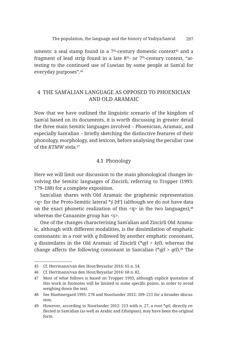uments: a seal stamp found in a  $7<sup>th</sup>$ -century domestic context<sup>45</sup> and a fragment of lead strip found in a late  $8<sup>th</sup>$ - or  $7<sup>th</sup>$ -century context, "attesting to the continued use of Luwian by some people at Samʾal for everyday purposes".46

#### 4 THE SAMʾALIAN LANGUAGE AS OPPOSED TO PHOENICIAN AND OLD ARAMAIC

Now that we have outlined the linguistic scenario of the kingdom of Samʾal based on its documents, it is worth discussing in greater detail the three main Semitic languages involved – Phoenician, Aramaic, and especially Samʾalian – briefly sketching the distinctive features of their phonology, morphology, and lexicon, before analysing the peculiar case of the *KTMW* stela.47

#### 4.1 Phonology

Here we will limit our discussion to the main phonological changes involving the Semitic languages of Zincirli, referring to Tropper (1993: 179–188) for a complete exposition.

Samʾalian shares with Old Aramaic the graphemic representation <q> for the Proto-Semitic lateral \**ṣ́* [tɬ'] (although we do not have data on the exact phonetic realization of this  $\langle q \rangle$  in the two languages),  $48$ whereas the Canaanite group has <ṣ>.

One of the changes characterising Samʾalian and Zincirli Old Aramaic, although with different modalities, is the dissimilation of emphatic consonants: in a root with *q* followed by another emphatic consonant, *q* dissimilates in the Old Aramaic of Zincirli (\**qṭl* > *kṭl*), whereas the change affects the following consonant in Samʾalian (\**qṭl* > *qtl*).49 The

<sup>45</sup> Cf. Herrmann/van den Hout/Beyazlar 2016: 65 n. 54.

<sup>46</sup> Cf. Herrmann/van den Hout/Beyazlar 2016: 68 n. 82.

<sup>47</sup> Most of what follows is based on Tropper 1993, although explicit quotation of this work in footnotes will be limited to some specific points, in order to avoid weighing down the text.

<sup>48</sup> See Huehnergard 1995: 278 and Noorlander 2012: 209–211 for a broader discussion.

<sup>49</sup> However, according to Noorlander 2012: 213 with n. 27, a root \**qtl*, directly reflected in Samʾalian (as well as Arabic and Ethiopian), may have been the original form.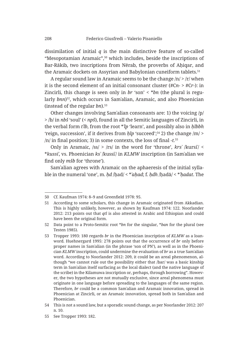dissimilation of initial *q* is the main distinctive feature of so-called "Mesopotamian Aramaic",50 which includes, beside the inscriptions of Bar-Rākib, two inscriptions from Nērab, the proverbs of Ahigar, and the Aramaic dockets on Assyrian and Babylonian cuneiform tablets.<sup>51</sup>

A regular sound law in Aramaic seems to be the change  $/n \geq r$  when it is the second element of an initial consonant cluster (#C*n*- > #C*r*-): in Zincirli, this change is seen only in *br* 'son' < \**bn* (the plural is regularly *bnn*)<sup>52</sup>, which occurs in Sam'alian, Aramaic, and also Phoenician (instead of the regular *bn*).53

Other changes involving Samʾalian consonants are: 1) the voicing /p/ > /b/ in *nbš* 'soul' (< *npš*), found in all the Semitic languages of Zincirli, in the verbal form *tʾlb*, from the root \**ʾlp* 'learn', and possibly also in *ḥlbbh* 'reign, succession', if it derives from *ḥlp* 'succeed';54 2) the change /m/ > /n/ in final position; 3) in some contexts, the loss of final *-t.*<sup>55</sup>

Only in Aramaic,  $\sqrt{ss}$  >  $\sqrt{rs}$  in the word for 'throne', *krs'* /kursi<sup>'</sup>/ < \**kussiʾ*, vs. Phoenician *ksʾ* /kussiʾ/ in *KLMW* inscription (in Samʾalian we find only *mšb* for 'throne').

Samʾalian agrees with Aramaic on the aphaeresis of the initial syllable in the numeral 'one', m. *ḥd* /ḥad/ < \**ʾaḥad*; f. *ḥdh* /ḥadā/ < \**ʾḥadat*. The

<sup>50</sup> Cf. Kaufman 1974: 8–9 and Greenfield 1978: 95.

<sup>51</sup> According to some scholars, this change in Aramaic originated from Akkadian. This is highly unlikely, however, as shown by Kaufman 1974: 122. Noorlander 2012: 213 points out that *qtl* is also attested in Arabic and Ethiopian and could have been the original form.

<sup>52</sup> Data point to a Proto-Semitic root \**bn* for the singular, \**ban* for the plural (see Testen 1985).

<sup>53</sup> Tropper 1993: 180 regards *br* in the Phoenician inscription of *KLMW* as a loanword. Huehnergard 1995: 278 points out that the occurrence of *br* only before proper names in Samʾalian (in the phrase 'son of PN'), as well as in the Phoenician *KLMW* inscription, could undermine the evaluation of *br* as a true Samʾalian word. According to Noorlander 2012: 209, it could be an areal phenomenon, although "we cannot rule out the possibility either that /bar/ was a basic kinship term in Samʾalian itself surfacing as the local dialect (and the native language of the scribe) in the Kilamuwa inscription or, perhaps, through borrowing". However, the two hypotheses are not mutually exclusive, since areal phenomena must originate in one language before spreading to the languages of the same region. Therefore, *br* could be a common Samʾalian and Aramaic innovation, spread in Phoenician at Zincirli, or an Aramaic innovation, spread both in Samʾalian and Phoenician.

<sup>54</sup> This is not a sound law, but a sporadic sound change, as per Noorlander 2012: 207 n. 10.

<sup>55</sup> See Tropper 1993: 182.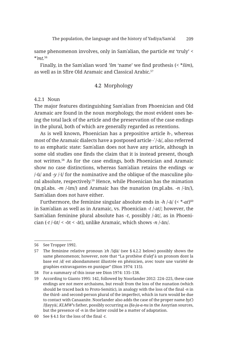same phenomenon involves, only in Samʾalian, the particle *mt* 'truly' < \**ʾmt.*<sup>56</sup>

Finally, in the Samʾalian word *'šm* 'name' we find prothesis (< \**šim*), as well as in Sfīre Old Aramaic and Classical Arabic.57

#### 4.2 Morphology

#### 4.2.1 Noun

The major features distinguishing Samʾalian from Phoenician and Old Aramaic are found in the noun morphology, the most evident ones being the total lack of the article and the preservation of the case endings in the plural, both of which are generally regarded as retentions.

As is well known, Phoenician has a prepositive article *h-*, whereas most of the Aramaic dialects have a postposed article *-ʾ* /-ā/, also referred to as emphatic state: Samʾalian does not have any article, although in some old studies one finds the claim that it is instead present, though not written.58 As for the case endings, both Phoenician and Aramaic show no case distinctions, whereas Samʾalian retains the endings *-w* /-ū/ and *-y* /-ī/ for the nominative and the oblique of the masculine plural absolute, respectively.<sup>59</sup> Hence, while Phoenician has the mimation (m.pl.abs. *-m* /-īm/) and Aramaic has the nunation (m.pl.abs. *-n* /-īn/), Samʾalian does not have either.

Furthermore, the feminine singular absolute ends in -h /-ā/ (< \*-at)<sup>60</sup> in Samʾalian as well as in Aramaic, vs. Phoenician *-t* /-at/; however, the Samʾalian feminine plural absolute has *-t*, possibly /-āt/, as in Phoenician (*-t* /-ūt/ < *-*ōt < *-*āt), unlike Aramaic, which shows *-n* /-ān/.

<sup>56</sup> See Tropper 1992.

<sup>57</sup> The feminine relative pronoun *ʾzh* /ʾiḏā/ (see § 4.2.2 below) possibly shows the same phenomenon; however, note that "La prothèse d'*alef* à un pronom dont la base est /*d*/ est abondamment illustrée en phénicien, avec toute une variété de graphies extravagantes en punique" (Dion 1974: 115).

<sup>58</sup> For a summary of this issue see Dion 1974: 135–138.

<sup>59</sup> According to Gianto 1995: 142, followed by Noorlander 2012: 224–225, these case endings are not mere archaisms, but result from the loss of the nunation (which should be traced back to Proto-Semitic), in analogy with the loss of the final *-n* in the third- and second-person plural of the imperfect, which in turn would be due to contact with Canaanite. Noorlander also adds the case of the proper name *ḥy*(*ʾ*) /Ḥayyā/, *KLMW*'s father, possibly occurring as *Ḫa-ja-a-nu* in the Assyrian sources, but the presence of *-n* in the latter could be a matter of adaptation.

<sup>60</sup> See § 4.1 for the loss of the final *-t*.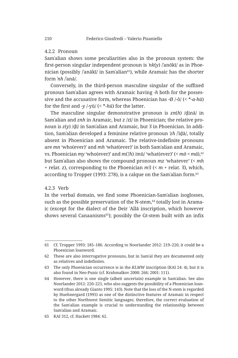#### 4.2.2 Pronoun

Samʾalian shows some peculiarities also in the pronoun system: the first-person singular independent pronoun is *ʾnk*(*y*) /ʾanōkī/ as in Phoenician (possibly /anākī/ in Sam'alian<sup>61</sup>), while Aramaic has the shorter form *ʾnh* /ʾanā/.

Conversely, in the third-person masculine singular of the suffixed pronoun Samʾalian agrees with Aramaic having *-h* both for the possessive and the accusative form, whereas Phoenician has -Ø /-ô/ (< \**-a-hū*) for the first and *-y* /-yū/ (< \**-hū*) for the latter.

The masculine singular demonstrative pronoun is *zn*(*h*) /ḏinā/ in Samʾalian and *znh* in Aramaic, but *z* /zī/ in Phoenician; the relative pronoun is *z*(*y*) /ḏī/ in Samʾalian and Aramaic, but *ʾš* in Phoenician. In addition, Samʾalian developed a feminine relative pronoun *ʾzh* /ʾiḏā/, totally absent in Phoenician and Aramaic. The relative-indefinite pronouns are *mn* 'who(ever)' and *mh* 'what(ever)' in both Samʾalian and Aramaic, vs. Phoenician *my* 'who(ever)' and *m*(*ʾ*/*h*) /mū/ 'what(ever)' (< *mō* < *mā*),<sup>62</sup> but Samʾalian also shows the compound pronoun *mz* 'whatever' (< *mh* + relat. *z*), corresponding to the Phoenician *mʾš* (< *m* + relat. *ʾš*), which, according to Tropper (1993: 278), is a calque on the Sam'alian form.<sup>63</sup>

#### 4.2.3 Verb

In the verbal domain, we find some Phoenician-Samʾalian isoglosses, such as the possible preservation of the N-stem,<sup>64</sup> totally lost in Aramaic (except for the dialect of the Deir ʿAllā inscription, which however shows several Canaanisms<sup>65</sup>); possibly the Gt-stem built with an infix

<sup>61</sup> Cf. Tropper 1993: 185–186. According to Noorlander 2012: 219–220, it could be a Phoenician loanword.

<sup>62</sup> These are also interrogative pronouns, but in Samʾal they are documented only as relatives and indefinites.

<sup>63</sup> The only Phoenician occurrence is in the *KLMW* inscription (KAI 24: 4), but it is also found in Neo-Punic (cf. Krahmalkov 2000: 266; 2001: 111).

<sup>64</sup> However, there is one single (albeit uncertain) example in Samʾalian. See also Noorlander 2012: 220–221, who also suggests the possibility of a Phoenician loanword (thus already Gianto 1995: 143). Note that the loss of the N-stem is regarded by Huehnergard (1995) as one of the distinctive features of Aramaic in respect to the other Northwest Semitic languages; therefore, the correct evaluation of the Samʾalian example is crucial to understanding the relationship between Samʾalian and Aramaic.

<sup>65</sup> KAI 312, cf. Hackett 1984: 62.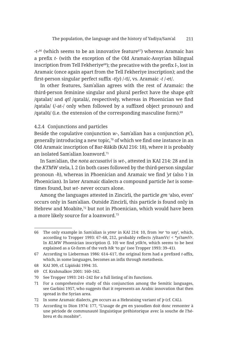*-t-*<sup>66</sup> (which seems to be an innovative feature67) whereas Aramaic has a prefix *t-* (with the exception of the Old Aramaic-Assyrian bilingual inscription from Tell Fekheriye<sup>68</sup>); the precative with the prefix *l*-, lost in Aramaic (once again apart from the Tell Fekheriye inscription); and the first-person singular perfect suffix *-t*(*y*) /-tī/, vs. Aramaic *-t* /-et/.

In other features, Samʾalian agrees with the rest of Aramaic: the third-person feminine singular and plural perfect have the shape *qtlt* /qatalat/ and *qtl* /qatalā/, respectively, whereas in Phoenician we find /qatala/ (/-at-/ only when followed by a suffixed object pronoun) and  $\alpha$  /qatalū/ (i.e. the extension of the corresponding masculine form).<sup>69</sup>

#### 4.2.4 Conjunctions and particles

Beside the copulative conjunction *w-*, Samʾalian has a conjunction *p*(*ʾ*), generally introducing a new topic, $70$  of which we find one instance in an Old Aramaic inscription of Bar-Rākib (KAI 216: 18), where it is probably an isolated Samʾalian loanword.71

In Samʾalian, the *nota accusativi* is *wt-*, attested in KAI 214: 28 and in the *KTMW* stela, l. 2 (in both cases followed by the third-person singular pronoun *-h*), whereas in Phoenician and Aramaic we find *ʾyt* (also *ʾt* in Phoenician). In later Aramaic dialects a compound particle *lwt* is sometimes found, but *wt-* never occurs alone.

Among the languages attested in Zincirli, the particle *gm* 'also, even' occurs only in Samʾalian. Outside Zincirli, this particle is found only in Hebrew and Moabite,<sup>72</sup> but not in Phoenician, which would have been a more likely source for a loanword.73

<sup>66</sup> The only example in Samʾalian is *ytmr* in KAI 214: 10, from *ʾmr* 'to say', which, according to Tropper 1993: 67–68, 212, probably reflects /yîtamVr/ < \**yiʾtamVr*. In *KLMW* Phoenician inscription (l. 10) we find *ytlk!n*, which seems to be best explained as a Gt-form of the verb *hlk* 'to go' (see Tropper 1993: 39–41).

<sup>67</sup> According to Lieberman 1986: 614–617, the original form had a prefixed *t*-affix, which, in some languages, becomes an infix through metathesis.

<sup>68</sup> KAI 309, cf. Lipiński 1994: 35.

<sup>69</sup> Cf. Krahmalkov 2001: 160–162.

<sup>70</sup> See Tropper 1993: 241–242 for a full listing of its functions.

<sup>71</sup> For a comprehensive study of this conjunction among the Semitic languages, see Garbini 1957, who suggests that it represents an Arabic innovation that then spread in the Syrian area.

<sup>72</sup> In some Aramaic dialects, *gm* occurs as a Hebraising variant of *ʾp* (cf. CAL).

<sup>73</sup> According to Dion 1974: 177, "L'usage de *gm* en yaoudien doit donc remonter à une période de communauté linguistique préhistorique avec la souche de l'hébreu et du moabite".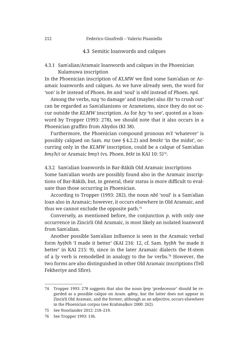#### 4.3 Semitic loanwords and calques

4.3.1 Samʾalian/Aramaic loanwords and calques in the Phoenician Kulamuwa inscription

In the Phoenician inscription of *KLMW* we find some Samʾalian or Aramaic loanwords and calques. As we have already seen, the word for 'son' is *br* instead of Phoen. *bn* and 'soul' is *nbš* instead of Phoen. *npš*.

Among the verbs, *nzq* 'to damage' and (maybe) also *šḥt* 'to crush out' can be regarded as Samʾalianisms or Arameisms, since they do not occur outside the *KLMW* inscription. As for *ḥzy* 'to see', quoted as a loanword by Tropper (1993: 278), we should note that it also occurs in a Phoenician graffito from Abydos (KI 38).

Furthermore, the Phoenician compound pronoun *mʾš* 'whatever' is possibly calqued on Sam. *mz* (see § 4.2.2) and *bmtkt* 'in the midst', occurring only in the *KLMW* inscription, could be a calque of Samʾalian *bmsh*/*t* or Aramaic *bms*<sup> $\dagger$ </sup> (vs. Phoen. *btkt* in KAI 10: 5)<sup>74</sup>.

4.3.2 Samʾalian loanwords in Bar-Rākib Old Aramaic inscriptions Some Samʾalian words are possibly found also in the Aramaic inscriptions of Bar-Rākib, but, in general, their status is more difficult to evaluate than those occurring in Phoenician.

According to Tropper (1993: 282), the noun *nbš* 'soul' is a Samʾalian loan also in Aramaic; however, it occurs elsewhere in Old Aramaic, and thus we cannot exclude the opposite path.75

Conversely, as mentioned before, the conjunction *p*, with only one occurrence in Zincirli Old Aramaic, is most likely an isolated loanword from Samʾalian.

Another possible Samʾalian influence is seen in the Aramaic verbal form *hyṭbth* 'I made it better' (KAI 216: 12, cf. Sam. *hyṭbh* 'he made it better' in KAI 215: 9), since in the later Aramaic dialects the H-stem of a I*y* verb is remodelled in analogy to the I*w* verbs.76 However, the two forms are also distinguished in other Old Aramaic inscriptions (Tell Fekheriye and Sfīre).

<sup>74</sup> Tropper 1993: 278 suggests that also the noun *lpny* 'predecessor' should be regarded as a possible calque on Aram. *qdmy*, but the latter does not appear in Zincirli Old Aramaic, and the former, although as an adjective, occurs elsewhere in the Phoenician corpus (see Krahmalkov 2000: 262).

<sup>75</sup> See Noorlander 2012: 218–219.

<sup>76</sup> See Tropper 1993: 136.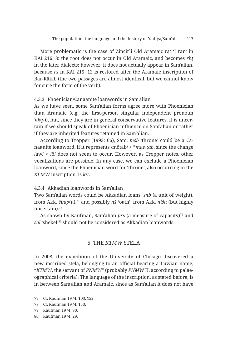More problematic is the case of Zincirli Old Aramaic *rṣt* 'I ran' in KAI 216: 8: the root does not occur in Old Aramaic, and becomes *rhṭ* in the later dialects; however, it does not actually appear in Samʾalian, because *rṣ* in KAI 215: 12 is restored after the Aramaic inscription of Bar-Rākib (the two passages are almost identical, but we cannot know for sure the form of the verb).

#### 4.3.3 Phoenician/Canaanite loanwords in Samʾalian

As we have seen, some Samʾalian forms agree more with Phoenician than Aramaic (e.g. the first-person singular independent pronoun *ʾnk*(*y*)), but, since they are in general conservative features, it is uncertain if we should speak of Phoenician influence on Samʾalian or rather if they are inherited features retained in Samʾalian.

According to Tropper (1993: 66), Sam. *mšb* 'throne' could be a Canaanite loanword, if it represents /môṯab/ < \**mawṯab*, since the change  $|aw| > |\hat{0}|$  does not seem to occur. However, as Tropper notes, other vocalizations are possible. In any case, we can exclude a Phoenician loanword, since the Phoenician word for 'throne', also occurring in the *KLMW* inscription, is *ks'*.

4.3.4 Akkadian loanwords in Samʾalian

Two Samʾalian words could be Akkadian loans: *snb* (a unit of weight), from Akk. *šinip*(*u*),77 and possibly *nš* 'oath', from Akk. *nīšu* (but highly uncertain).78

As shown by Kaufman, Sam'alian *prs* (a measure of capacity)<sup>79</sup> and *šql* 'shekel'80 should not be considered as Akkadian loanwords.

#### 5 THE *KTMW* STELA

In 2008, the expedition of the University of Chicago discovered a new inscribed stela, belonging to an official bearing a Luwian name, "*KTMW*, the servant of *PNMW*" (probably *PNMW* II, according to palaeographical criteria). The language of the inscription, as stated before, is in between Samʾalian and Aramaic, since as Samʾalian it does not have

<sup>77</sup> Cf. Kaufman 1974: 103, 152.

<sup>78</sup> Cf. Kaufman 1974: 153.

<sup>79</sup> Kaufman 1974: 80.

<sup>80</sup> Kaufman 1974: 29.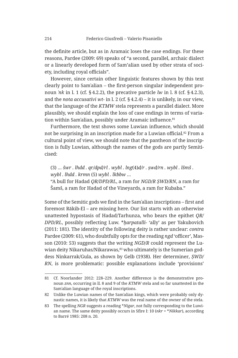the definite article, but as in Aramaic loses the case endings. For these reasons, Pardee (2009: 69) speaks of "a second, parallel, archaic dialect or a linearly developed form of Sam'alian used by other strata of society, including royal officials".

However, since certain other linguistic features shown by this text clearly point to Samʾalian – the first-person singular independent pronoun *ʾnk* in l. 1 (cf. § 4.2.2), the precative particle *lw* in l. 8 (cf. § 4.2.3), and the *nota accusativi wt-* in l. 2 (cf. § 4.2.4) – it is unlikely, in our view, that the language of the *KTMW* stela represents a parallel dialect. More plausibly, we should explain the loss of case endings in terms of variation within Sam'alian, possibly under Aramaic influence.<sup>81</sup>

Furthermore, the text shows some Luwian influence, which should not be surprising in an inscription made for a Luwian official.<sup>82</sup> From a cultural point of view, we should note that the pantheon of the inscription is fully Luwian, although the names of the gods are partly Semiticised:

(3) … *šwr . lhdd . qr/dpd/rl . wybl . lng*(4)*d/r . ṣwd/rn . wybl . lšmš . wybl . lhdd . krmn* (5) *wybl . lkbbw* … "A bull for Hadad *QR/DPD/RL*, a ram for *NGD/R ṢWD/RN*, a ram for

Šamš, a ram for Hadad of the Vineyards, a ram for Kubaba."

Some of the Semitic gods we find in the Samʾalian inscriptions – first and foremost Rākib-El – are missing here. Our list starts with an otherwise unattested hypostasis of Hadad/Tarhunza, who bears the epithet *QR/ DPD/RL*, possibly reflecting Luw. \**ḫarpatalli-* 'ally' as per Yakubovich (2011: 181). The identity of the following deity is rather unclear: *contra* Pardee (2009: 61), who doubtfully opts for the reading *ngd* 'officer', Masson (2010: 53) suggests that the writing *NGD/R* could represent the Luwian deity Nikaruhas/Nikarawas,<sup>83</sup> who ultimately is the Sumerian goddess Ninkarrak/Gula, as shown by Gelb (1938). Her determiner, *ṢWD/ RN*, is more problematic: possible explanations include 'provisions'

<sup>81</sup> Cf. Noorlander 2012: 228–229. Another difference is the demonstrative pronoun *znn*, occurring in ll. 8 and 9 of the *KTMW* stela and so far unattested in the Samʾalian language of the royal inscriptions.

<sup>82</sup> Unlike the Luwian names of the Samʾalian kings, which were probably only dynastic names, it is likely that *KTMW* was the real name of the owner of the stela.

<sup>83</sup> The spelling *NGR* suggests a reading \**Nigar*, not fully corresponding to the Luwian name. The same deity possibly occurs in Sfīre I: 10 (*nkr* = \**Nikkar*), according to Barré 1985: 208 n. 20.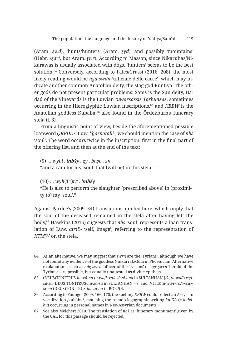(Aram. *ṣwd*), 'hunts/hunters' (Aram. *ṣyd*), and possibly 'mountains' (Hebr. /ṣūr/, but Aram. *ṭwr*). According to Masson, since Nikaruhas/Nikarawas is usually associated with dogs, 'hunters' seems to be the best solution.84 Conversely, according to Fales/Grassi (2016: 208), the most likely reading would be *ngd ṣwdn* 'ufficiale delle cacce', which may indicate another common Anatolian deity, the stag-god Runtiya. The other gods do not present particular problems: Šamš is the Sun deity, Hadad of the Vineyards is the Luwian *tuwarsassis Tarhunzas*, sometimes occurring in the Hieroglyphic Luwian inscriptions,85 and *KBBW* is the Anatolian goddess Kubaba,<sup>86</sup> also found in the Ördekburnu funerary stela (l. 6).

From a linguistic point of view, beside the aforementioned possible loanword *QRPDL* < Luw. \**ḫarpatalli-*, we should mention the case of *nbš* 'soul'. The word occurs twice in the inscription, first in the final part of the offering list, and then at the end of the text:

(5) … *wybl . lnbšy . zy . bnṣb . zn .* "and a ram for my 'soul' that (will be) in this stela."

(10) … *wyh*(11)*rg . bnbšy*

"He is also to perform the slaughter (prescribed above) in (proximity to) my 'soul'."

Against Pardee's (2009: 54) translations, quoted here, which imply that the soul of the deceased remained in the stela after having left the body,87 Hawkins (2015) suggests that *nbš* 'soul' represents a loan translation of Luw. *atr*(*i*)*-* 'self, image', referring to the representation of *KTMW* on the stela.

<sup>84</sup> As an alternative, we may suggest that *ṣwrn* are the 'Tyrians', although we have not found any evidence of the goddess Ninkarrak/Gula in Phoenician. Alternative explanations, such as *ndg ṣwrn* 'officer of the Tyrians' or *ngr ṣwrn* 'herald of the Tyrians', are possible, but equally unattested as divine epithets.

<sup>85</sup> (DEUS)TONITRUS*-hu-zá-na tu-wa/i+ra/i-sà-si-i-na* in SULTANHAN § 2, *tu-wa/i+ra/isa-sa* (DEUS)TONITRUS*-hu-za-sa* in SULTANHAN § 8, and (VITIS)*tu-wa/i+ra/i-*«*sa*» *si-na* (DEUS)TONITRUS*-hu-za-na* in BOR § 4.

<sup>86</sup> According to Younger 2009: 166–170, the spelling *KBBW* could reflect an Assyrian vocalization /kubābu/, matching the pseudo-logographic writing *kù-*KÁ (= *kubābu*) occurring in personal names in Neo-Assyrian documents.

<sup>87</sup> See also Melchert 2010. The translation of *nbš* as 'funerary monument' given by the CAL for this passage should be rejected.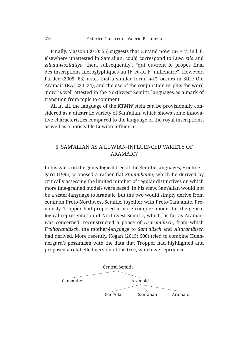Finally, Masson (2010: 55) suggests that  $w^2$  'and now' ( $w$ - + 't) in l. 6, elsewhere unattested in Samʾalian, could correspond to Luw. *zila* and *ziladuwa*/*zilatiya* 'then, subsequently', "qui ouvrent le propos final des inscriptions hiéroglyphiques au IIª et au Iªr millénaire". However, Pardee (2009: 63) notes that a similar form, *wkʿt*, occurs in Sfīre Old Aramaic (KAI 224: 24), and the use of the conjunction *w-* plus the word 'now' is well attested in the Northwest Semitic languages as a mark of transition from topic to comment.

All in all, the language of the *KTMW* stela can be provisionally considered as a diastratic variety of Samʾalian, which shows some innovative characteristics compared to the language of the royal inscriptions, as well as a noticeable Luwian influence.

#### 6 SAMʾALIAN AS A LUWIAN-INFLUENCED VARIETY OF ARAMAIC?

In his work on the genealogical tree of the Semitic languages, Huehnergard (1995) proposed a rather flat *Stammbaum*, which he derived by critically assessing the limited number of regular distinctives on which more fine-grained models were based. In his view, Samʾalian would not be a sister-language to Aramaic, but the two would simply derive from common Proto-Northwest-Semitic, together with Proto-Canaanite. Previously, Tropper had proposed a more complex model for the genealogical representation of Northwest Semitic, which, as far as Aramaic was concerned, reconstructed a phase of *Uraramäisch*, from which *Früharamäisch*, the mother-language to *Sam'alisch* and *Altaramäisch* had derived. More recently, Kogan (2015: 600) tried to combine Huehnergard's pessimism with the data that Tropper had highlighted and proposed a relabelled version of the tree, which we reproduce:

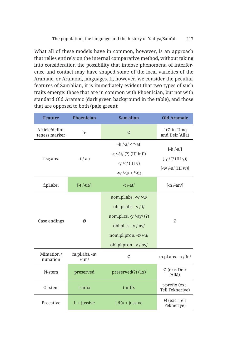What all of these models have in common, however, is an approach that relies entirely on the internal comparative method, without taking into consideration the possibility that intense phenomena of interference and contact may have shaped some of the local varieties of the Aramaic, or Aramoid, languages. If, however, we consider the peculiar features of Samʾalian, it is immediately evident that two types of such traits emerge: those that are in common with Phoenician, but not with standard Old Aramaic (dark green background in the table), and those that are opposed to both (pale green):

| <b>Feature</b>                   | Phoenician                            | Sam'alian                                                                                                                                                 | <b>Old Aramaic</b>                                                   |
|----------------------------------|---------------------------------------|-----------------------------------------------------------------------------------------------------------------------------------------------------------|----------------------------------------------------------------------|
| Article/defini-<br>teness marker | $h -$                                 | $\emptyset$                                                                                                                                               | $\cdot$ (Ø in Umq<br>and Deir 'Alla)                                 |
| f.sg.abs.                        | -t $/-at/$                            | $-h$ /- $\bar{a}$ / < *-at<br>$-t$ /-ât/ $(?)$ (III inf.)<br>-y $\frac{1}{1}$ (III y)<br>$-w$ /- $\bar{u}$ / < *- $\bar{u}$ t                             | $[-h /-\bar{a}$<br>$[-y / -i / (III y)]$<br>$[-w /-\bar{u}/(III w)]$ |
| f.pl.abs.                        | $[-t /-\bar{u}t]$                     | -t $/-\bar{a}t/$                                                                                                                                          | $[-n/-\bar{a}n/$                                                     |
| Case endings                     | Ø                                     | nom.pl.abs. -w /-ū/<br>obl.pl.abs. -y $-\frac{1}{4}$<br>nom.pl.cs. -y /-ay/ (?)<br>obl.pl.cs. $-y$ /-ay/<br>nom.pl.pron. -Ø /-ū/<br>obl.pl.pron. -y /-ay/ | Ø                                                                    |
| Mimation /<br>nunation           | m.pl.abs. -m<br>$\frac{1}{\text{Im}}$ | Ø                                                                                                                                                         | m.pl.abs. $-n$ $\overline{-}in$                                      |
| N-stem                           | preserved                             | preserved(?)(1x)                                                                                                                                          | Ø (exc. Deir<br>'Allā)                                               |
| Gt-stem                          | $t$ -infix                            | $t$ -infix                                                                                                                                                | t-prefix (exc.<br>Tell Fekheriye)                                    |
| Precative                        | $l$ - + jussive                       | $1/\overline{u}/ +$ jussive                                                                                                                               | Ø (exc. Tell<br>Fekheriye)                                           |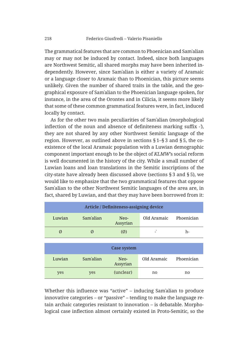The grammatical features that are common to Phoenician and Samʾalian may or may not be induced by contact. Indeed, since both languages are Northwest Semitic, all shared morphs may have been inherited independently. However, since Samʾalian is either a variety of Aramaic or a language closer to Aramaic than to Phoenician, this picture seems unlikely. Given the number of shared traits in the table, and the geographical exposure of Samʾalian to the Phoenician language spoken, for instance, in the area of the Orontes and in Cilicia, it seems more likely that some of these common grammatical features were, in fact, induced locally by contact.

As for the other two main peculiarities of Samʾalian (morphological inflection of the noun and absence of definiteness marking suffix *-ʾ*), they are not shared by any other Northwest Semitic language of the region. However, as outlined above in sections § 1–§ 3 and § 5, the coexistence of the local Aramaic population with a Luwian demographic component important enough to be the object of *KLMW*'s social reform is well documented in the history of the city. While a small number of Luwian loans and loan translations in the Semitic inscriptions of the city-state have already been discussed above (sections § 3 and § 5), we would like to emphasize that the two grammatical features that oppose Samʾalian to the other Northwest Semitic languages of the area are, in fact, shared by Luwian, and that they may have been borrowed from it:

| Article / Definiteness-assigning device |           |                    |             |            |
|-----------------------------------------|-----------|--------------------|-------------|------------|
| Luwian                                  | Sam'alian | $Neo-$<br>Assyrian | Old Aramaic | Phoenician |
| Ø                                       | Ø         | $\omega$           | ۰           | h-         |

|        |           | Case system        |             |            |
|--------|-----------|--------------------|-------------|------------|
| Luwian | Sam'alian | $Neo-$<br>Assyrian | Old Aramaic | Phoenician |
| yes    | yes       | (unclear)          | no          | no         |

Whether this influence was "active" – inducing Samʾalian to produce innovative categories – or "passive" – tending to make the language retain archaic categories resistant to innovation – is debatable. Morphological case inflection almost certainly existed in Proto-Semitic, so the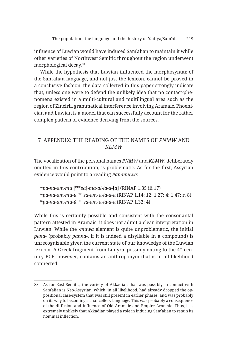influence of Luwian would have induced Samʾalian to maintain it while other varieties of Northwest Semitic throughout the region underwent morphological decay.<sup>88</sup>

While the hypothesis that Luwian influenced the morphosyntax of the Samʾalian language, and not just the lexicon, cannot be proved in a conclusive fashion, the data collected in this paper strongly indicate that, unless one were to defend the unlikely idea that no contact-phenomena existed in a multi-cultural and multilingual area such as the region of Zincirli, grammatical interference involving Aramaic, Phoenician and Luwian is a model that can successfully account for the rather complex pattern of evidence deriving from the sources.

#### 7 APPENDIX: THE READING OF THE NAMES OF *PNMW* AND *KLMW*

The vocalization of the personal names *PNMW* and *KLMW*, deliberately omitted in this contribution, is problematic. As for the first, Assyrian evidence would point to a reading *Panamuwa*:

<sup>m</sup>*pa-na-am-mu* [KUR*sa*]-*ma-al-la-a*-[*a*] (RINAP 1.35 iii 17) <sup>m</sup>*pa-na-am-mu-u* URU*sa-am-ʾa-la-a-a* (RINAP 1.14: 12; 1.27: 4; 1.47: r. 8) <sup>m</sup>*pa-na-am-mu-ú* URU*sa-am-ʾa-la-a-a* (RINAP 1.32: 4)

While this is certainly possible and consistent with the consonantal pattern attested in Aramaic, it does not admit a clear interpretation in Luwian. While the -*muwa* element is quite unproblematic, the initial *pana-* (probably *panna-*, if it is indeed a disyllable in a compound) is unrecognizable given the current state of our knowledge of the Luwian lexicon. A Greek fragment from Limyra, possibly dating to the 4<sup>th</sup> century BCE, however, contains an anthroponym that is in all likelihood connected:

<sup>88</sup> As for East Semitic, the variety of Akkadian that was possibly in contact with Samʾalian is Neo-Assyrian, which, in all likelihood, had already dropped the oppositional case-system that was still present in earlier phases, and was probably on its way to becoming a chancellery language. This was probably a consequence of the diffusion and influence of Old Aramaic and Empire Aramaic. Thus, it is extremely unlikely that Akkadian played a role in inducing Samʾalian to retain its nominal inflection.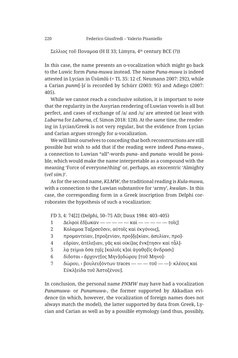Σελλιος τοῦ Ποναμοα (H II 33; Limyra,  $4<sup>th</sup>$  century BCE (?))

In this case, the name presents an o-vocalization which might go back to the Luwic form *Puna-muwa* instead. The name *Puna-muwa* is indeed attested in Lycian in Üsümlü (= TL 35: 12 cf. Neumann 2007: 292), while a Carian *punm*[-]*ś* is recorded by Schürr (2003: 95) and Adiego (2007: 405).

While we cannot reach a conclusive solution, it is important to note that the regularity in the Assyrian rendering of Luwian vowels is all but perfect, and cases of exchange of /a/ and /u/ are attested (at least with *Lubarna* for *Labarna*, cf. Simon 2018: 128). At the same time, the rendering in Lycian/Greek is not very regular, but the evidence from Lycian and Carian argues strongly for *u*-vocalization.

We will limit ourselves to conceding that both reconstructions are still possible but wish to add that if the reading were indeed *Puna-muwa-*, a connection to Luwian "all"-words *puna-* and *punata-* would be possible, which would make the name interpretable as a compound with the meaning 'Force of everyone/thing' or, perhaps, an exocentric 'Almighty (*vel sim*.)'.

As for the second name, *KLMW*, the traditional reading is *Kula-muwa*, with a connection to the Luwian substantive for 'army', *kwalan-*. In this case, the corresponding form in a Greek inscription from Delphi corroborates the hypothesis of such a vocalization:

FD 3, 4: 74[2] (Delphi, 50–75 AD; Daux 1984: 403–405)

- 1 Δελφοὶ ἔδ[ωκαν — — καὶ — — τοῖς]
- 2 Κολαμοα Τα[ρσεῦσιν, αὐτοῖς καὶ ἐκγόνοις],
- 3 προμαντείαν, [προξενίαν, προ]δι[κίαν, ἀσυλίαν, προ]-
- 4 εδρίαν, ἀτέλε[ιαν, γᾶς καὶ οἰκί]ας ἔνκ[τησιν καὶ τἆλ]-
- 5 λα τείμια ὅσα τοῖς [καλοῖς κ]αὶ ἀγαθο [ῖς ἄνδρασι]
- 6 δίδοται > ἄρχοντ[ος Μην]οδώρου [τοῦ Μηνο]-
- 7 δώρου, › βουλευ[όντων traces — τοῦ —]- κλέους καὶ Εὐκλ[είδα τοῦ Ἀστοξένου].

In conclusion, the personal name *PNMW* may have had a vocalization *Panamuwa-* or *Punamuwa-*, the former supported by Akkadian evidence (in which, however, the vocalization of foreign names does not always match the model), the latter supported by data from Greek, Lycian and Carian as well as by a possible etymology (and thus, possibly,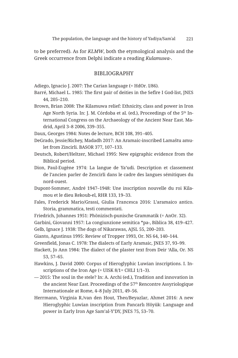to be preferred). As for *KLMW*, both the etymological analysis and the Greek occurrence from Delphi indicate a reading *Kulamuwa-*.

#### BIBLIOGRAPHY

Adiego, Ignacio J. 2007: The Carian language (= HdOr. I/86).

- Barré, Michael L. 1985: The first pair of deities in the Sefîre I God-list, JNES 44, 205–210.
- Brown, Brian 2008: The Kilamuwa relief: Ethnicity, class and power in Iron Age North Syria. In: J. M. Córdoba et al. (ed.), Proceedings of the 5<sup>th</sup> International Congress on the Archaeology of the Ancient Near East. Madrid, April 3–8 2006, 339–355.

Daux, Georges 1984: Notes de lecture, BCH 108, 391–405.

- DeGrado, Jessie/Richey, Madadh 2017: An Aramaic-inscribed Lamaštu amulet from Zincirli. BASOR 377, 107–133.
- Deutsch, Robert/Heltzer, Michael 1995: New epigraphic evidence from the Biblical period.
- Dion, Paul-Eugène 1974: La langue de Ya'udi. Description et classement de l'ancien parler de Zencirli dans le cadre des langues sémitiques du nord-ouest.
- Dupont-Sommer, André 1947–1948: Une inscription nouvelle du roi Kilamou et le dieu Rekoub-el, RHR 133, 19–33.
- Fales, Frederick Mario/Grassi, Giulia Francesca 2016: L'aramaico antico. Storia, grammatica, testi commentati.
- Friedrich, Johannes 1951: Phönizisch-punische Grammatik (= AnOr. 32).

Garbini, Giovanni 1957: La congiunzione semitica \*pa-, Biblica 38, 419–427. Gelb, Ignace J. 1938: The dogs of Nikarawas, AJSL 55, 200–203.

Gianto, Agustinus 1995: Review of Tropper 1993, Or. NS 64, 140–144.

- Greenfield, Jonas C. 1978: The dialects of Early Aramaic, JNES 37, 93–99.
- Hackett, Jo Ann 1984: The dialect of the plaster text from Deir 'Alla, Or. NS 53, 57–65.
- Hawkins, J. David 2000: Corpus of Hieroglyphic Luwian inscriptions. I. Inscriptions of the Iron Age (= UISK 8/1= CHLI 1/1–3).
- 2015: The soul in the stele? In: A. Archi (ed.), Tradition and innovation in the ancient Near East. Proceedings of the 57th Rencontre Assyriologique Internationale at Rome, 4–8 July 2011, 49–56.
- Herrmann, Virginia R./van den Hout, Theo/Beyazlar, Ahmet 2016: A new Hieroglyphic Luwian inscription from Pancarlı Höyük: Language and power in Early Iron Age Sam'al-Y'DY, JNES 75, 53–70.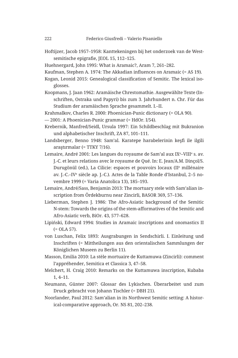- Hoftijzer, Jacob 1957–1958: Kanttekeningen bij het onderzoek van de Westsemitische epigrafie, JEOL 15, 112–125.
- Huehnergard, John 1995: What is Aramaic?, Aram 7, 261–282.
- Kaufman, Stephen A. 1974: The Akkadian influences on Aramaic (= AS 19).
- Kogan, Leonid 2015: Genealogical classification of Semitic. The lexical isoglosses.
- Koopmans, J. Jaan 1962: Aramäische Chrestomathie. Ausgewählte Texte (Inschriften, Ostraka und Papyri) bis zum 3. Jahrhundert n. Chr. Für das Studium der aramäischen Sprache gesammelt. I.–II.
- Krahmalkov, Charles R. 2000: Phoenician-Punic dictionary (= OLA 90).
- 2001: A Phoenician-Punic grammar (= HdOr. I/54).
- Krebernik, Manfred/Seidl, Ursula 1997: Ein Schildbeschlag mit Bukranion und alphabetischer Inschrift, ZA 87, 101–111.
- Landsberger, Benno 1948: Sam'al. Karatepe harabelerinin keşfi ile ilgili araştırmalar (= TTKY 7/16).
- Lemaire, André 2001: Les langues du royaume de Sam'al aux IX<sup>e\_</sup>VIII<sup>e</sup> s. av. J.-C. et leurs relations avec le royaume de Qué. In: E. Jean/A.M. Dinçol/S. Durugönül (ed.), La Cilicie: espaces et pouvoirs locaux (II<sup>e</sup> millénaire av. J.-C.–IV<sup>e</sup> siècle ap. J.-C.). Actes de la Table Ronde d'Istanbul, 2–5 novembre 1999 (= Varia Anatolica 13), 185–193.
- Lemaire, André/Sass, Benjamin 2013: The mortuary stele with Sam'alian inscription from Ördekburnu near Zincirli, BASOR 369, 57–136.
- Lieberman, Stephen J. 1986: The Afro-Asiatic background of the Semitic N-stem: Towards the origins of the stem-afformatives of the Semitic and Afro-Asiatic verb, BiOr. 43, 577–628.
- Lipiński, Edward 1994: Studies in Aramaic inscriptions and onomastics II (= OLA 57).
- von Luschan, Felix 1893: Ausgrabungen in Sendschirli. I. Einleitung und Inschriften (= Mittheilungen aus den orientalischen Sammlungen der Königlichen Museen zu Berlin 11).
- Masson, Emilia 2010: La stèle mortuaire de Kuttamuwa (Zincirli): comment l'appréhender, Semitica et Classica 3, 47–58.
- Melchert, H. Craig 2010: Remarks on the Kuttamuwa inscription, Kubaba 1, 4–11.
- Neumann, Günter 2007: Glossar des Lykischen. Überarbeitet und zum Druck gebracht von Johann Tischler (= DBH 21).
- Noorlander, Paul 2012: Sam'alian in its Northwest Semitic setting: A historical-comparative approach, Or. NS 81, 202–238.